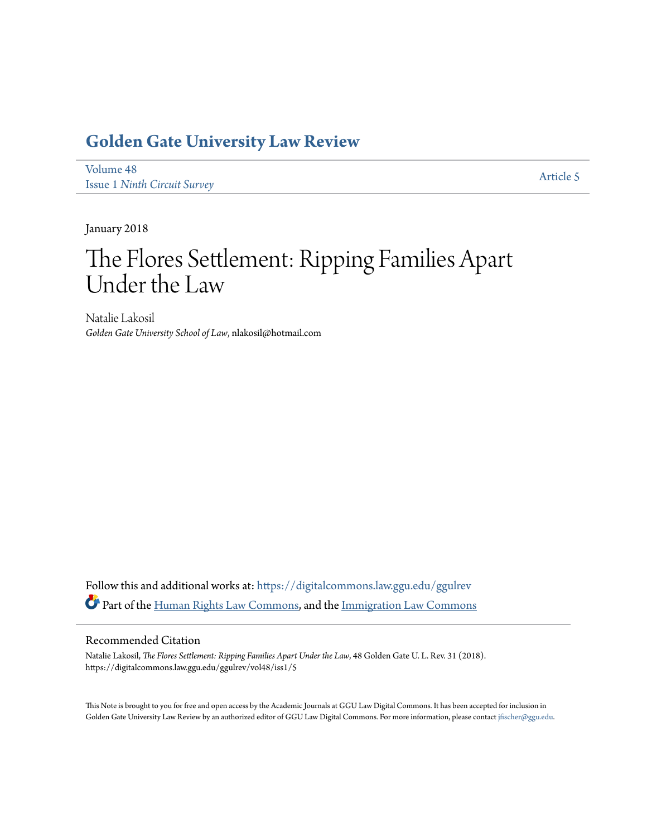## **[Golden Gate University Law Review](https://digitalcommons.law.ggu.edu/ggulrev?utm_source=digitalcommons.law.ggu.edu%2Fggulrev%2Fvol48%2Fiss1%2F5&utm_medium=PDF&utm_campaign=PDFCoverPages)**

[Volume 48](https://digitalcommons.law.ggu.edu/ggulrev/vol48?utm_source=digitalcommons.law.ggu.edu%2Fggulrev%2Fvol48%2Fiss1%2F5&utm_medium=PDF&utm_campaign=PDFCoverPages) Issue 1 *[Ninth Circuit Survey](https://digitalcommons.law.ggu.edu/ggulrev/vol48/iss1?utm_source=digitalcommons.law.ggu.edu%2Fggulrev%2Fvol48%2Fiss1%2F5&utm_medium=PDF&utm_campaign=PDFCoverPages)*

[Article 5](https://digitalcommons.law.ggu.edu/ggulrev/vol48/iss1/5?utm_source=digitalcommons.law.ggu.edu%2Fggulrev%2Fvol48%2Fiss1%2F5&utm_medium=PDF&utm_campaign=PDFCoverPages)

January 2018

# The Flores Settlement: Ripping Families Apart Under the Law

Natalie Lakosil *Golden Gate University School of Law*, nlakosil@hotmail.com

Follow this and additional works at: [https://digitalcommons.law.ggu.edu/ggulrev](https://digitalcommons.law.ggu.edu/ggulrev?utm_source=digitalcommons.law.ggu.edu%2Fggulrev%2Fvol48%2Fiss1%2F5&utm_medium=PDF&utm_campaign=PDFCoverPages) Part of the [Human Rights Law Commons,](http://network.bepress.com/hgg/discipline/847?utm_source=digitalcommons.law.ggu.edu%2Fggulrev%2Fvol48%2Fiss1%2F5&utm_medium=PDF&utm_campaign=PDFCoverPages) and the [Immigration Law Commons](http://network.bepress.com/hgg/discipline/604?utm_source=digitalcommons.law.ggu.edu%2Fggulrev%2Fvol48%2Fiss1%2F5&utm_medium=PDF&utm_campaign=PDFCoverPages)

#### Recommended Citation

Natalie Lakosil, *The Flores Settlement: Ripping Families Apart Under the Law*, 48 Golden Gate U. L. Rev. 31 (2018). https://digitalcommons.law.ggu.edu/ggulrev/vol48/iss1/5

This Note is brought to you for free and open access by the Academic Journals at GGU Law Digital Commons. It has been accepted for inclusion in Golden Gate University Law Review by an authorized editor of GGU Law Digital Commons. For more information, please contact [jfischer@ggu.edu.](mailto:jfischer@ggu.edu)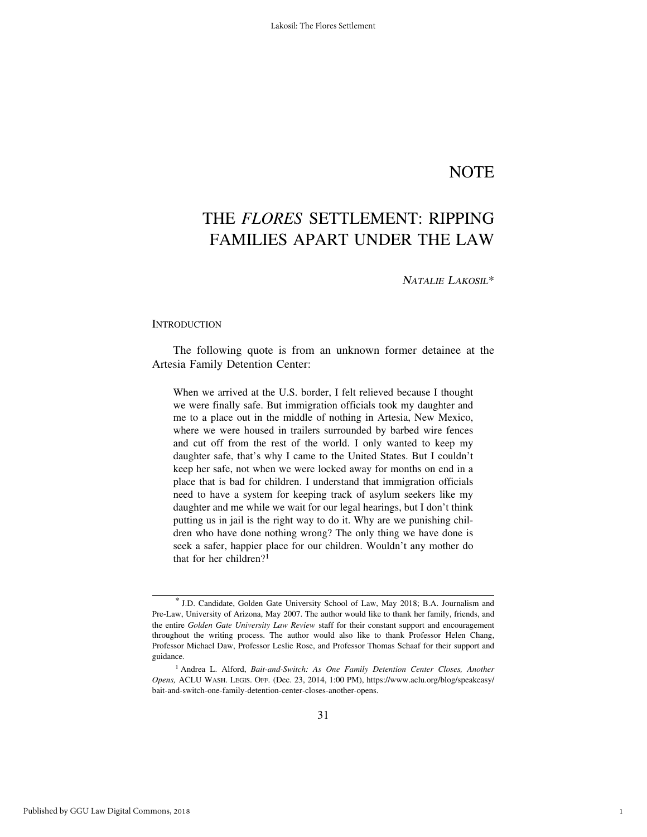### **NOTE**

1

### THE *FLORES* SETTLEMENT: RIPPING FAMILIES APART UNDER THE LAW

<sup>N</sup>ATALIE LAKOSIL\*

#### **INTRODUCTION**

The following quote is from an unknown former detainee at the Artesia Family Detention Center:

When we arrived at the U.S. border, I felt relieved because I thought we were finally safe. But immigration officials took my daughter and me to a place out in the middle of nothing in Artesia, New Mexico, where we were housed in trailers surrounded by barbed wire fences and cut off from the rest of the world. I only wanted to keep my daughter safe, that's why I came to the United States. But I couldn't keep her safe, not when we were locked away for months on end in a place that is bad for children. I understand that immigration officials need to have a system for keeping track of asylum seekers like my daughter and me while we wait for our legal hearings, but I don't think putting us in jail is the right way to do it. Why are we punishing children who have done nothing wrong? The only thing we have done is seek a safer, happier place for our children. Wouldn't any mother do that for her children?1

<sup>\*</sup> J.D. Candidate, Golden Gate University School of Law, May 2018; B.A. Journalism and Pre-Law, University of Arizona, May 2007. The author would like to thank her family, friends, and the entire *Golden Gate University Law Review* staff for their constant support and encouragement throughout the writing process. The author would also like to thank Professor Helen Chang, Professor Michael Daw, Professor Leslie Rose, and Professor Thomas Schaaf for their support and guidance.

<sup>1</sup> Andrea L. Alford, *Bait-and-Switch: As One Family Detention Center Closes, Another Opens,* ACLU WASH. LEGIS. OFF. (Dec. 23, 2014, 1:00 PM), https://www.aclu.org/blog/speakeasy/ bait-and-switch-one-family-detention-center-closes-another-opens.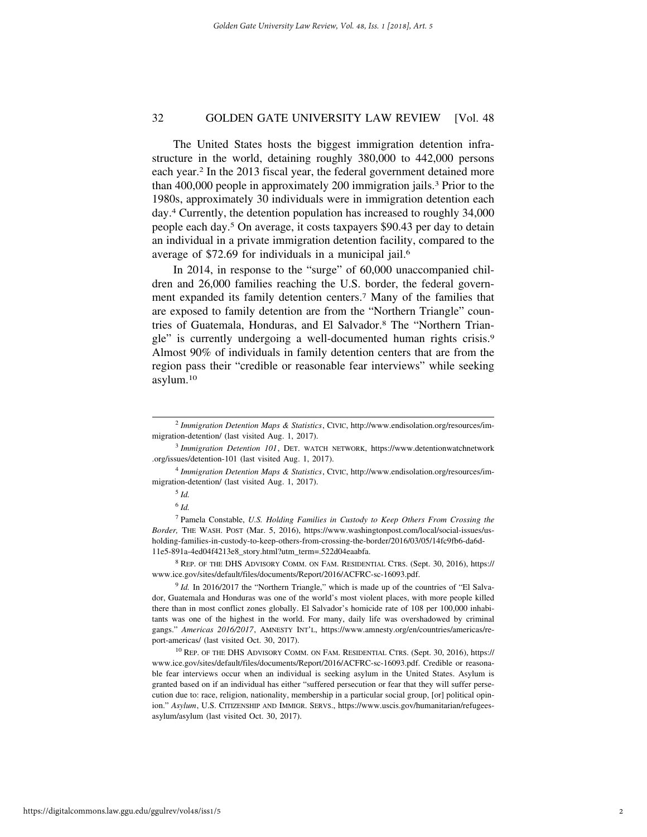The United States hosts the biggest immigration detention infrastructure in the world, detaining roughly 380,000 to 442,000 persons each year.2 In the 2013 fiscal year, the federal government detained more than 400,000 people in approximately 200 immigration jails.3 Prior to the 1980s, approximately 30 individuals were in immigration detention each day.4 Currently, the detention population has increased to roughly 34,000 people each day.5 On average, it costs taxpayers \$90.43 per day to detain an individual in a private immigration detention facility, compared to the average of \$72.69 for individuals in a municipal jail.6

In 2014, in response to the "surge" of 60,000 unaccompanied children and 26,000 families reaching the U.S. border, the federal government expanded its family detention centers.7 Many of the families that are exposed to family detention are from the "Northern Triangle" countries of Guatemala, Honduras, and El Salvador.8 The "Northern Triangle" is currently undergoing a well-documented human rights crisis.9 Almost 90% of individuals in family detention centers that are from the region pass their "credible or reasonable fear interviews" while seeking asylum.10

<sup>2</sup> *Immigration Detention Maps & Statistics*, CIVIC, http://www.endisolation.org/resources/immigration-detention/ (last visited Aug. 1, 2017).

<sup>3</sup> *Immigration Detention 101*, DET. WATCH NETWORK, https://www.detentionwatchnetwork .org/issues/detention-101 (last visited Aug. 1, 2017).

<sup>4</sup> *Immigration Detention Maps & Statistics*, CIVIC, http://www.endisolation.org/resources/immigration-detention/ (last visited Aug. 1, 2017).

<sup>5</sup> *Id.*

<sup>6</sup> *Id.*

<sup>7</sup> Pamela Constable, *U.S. Holding Families in Custody to Keep Others From Crossing the Border,* THE WASH. POST (Mar. 5, 2016), https://www.washingtonpost.com/local/social-issues/usholding-families-in-custody-to-keep-others-from-crossing-the-border/2016/03/05/14fc9fb6-da6d-11e5-891a-4ed04f4213e8\_story.html?utm\_term=.522d04eaabfa.

<sup>8</sup> REP. OF THE DHS ADVISORY COMM. ON FAM. RESIDENTIAL CTRS. (Sept. 30, 2016), https:// www.ice.gov/sites/default/files/documents/Report/2016/ACFRC-sc-16093.pdf.

<sup>&</sup>lt;sup>9</sup> *Id.* In 2016/2017 the "Northern Triangle," which is made up of the countries of "El Salvador, Guatemala and Honduras was one of the world's most violent places, with more people killed there than in most conflict zones globally. El Salvador's homicide rate of 108 per 100,000 inhabitants was one of the highest in the world. For many, daily life was overshadowed by criminal gangs." *Americas 2016/2017*, AMNESTY INT'L, https://www.amnesty.org/en/countries/americas/report-americas/ (last visited Oct. 30, 2017).

<sup>&</sup>lt;sup>10</sup> REP. OF THE DHS ADVISORY COMM. ON FAM. RESIDENTIAL CTRS. (Sept. 30, 2016), https:// www.ice.gov/sites/default/files/documents/Report/2016/ACFRC-sc-16093.pdf. Credible or reasonable fear interviews occur when an individual is seeking asylum in the United States. Asylum is granted based on if an individual has either "suffered persecution or fear that they will suffer persecution due to: race, religion, nationality, membership in a particular social group, [or] political opinion." *Asylum*, U.S. CITIZENSHIP AND IMMIGR. SERVS., https://www.uscis.gov/humanitarian/refugeesasylum/asylum (last visited Oct. 30, 2017).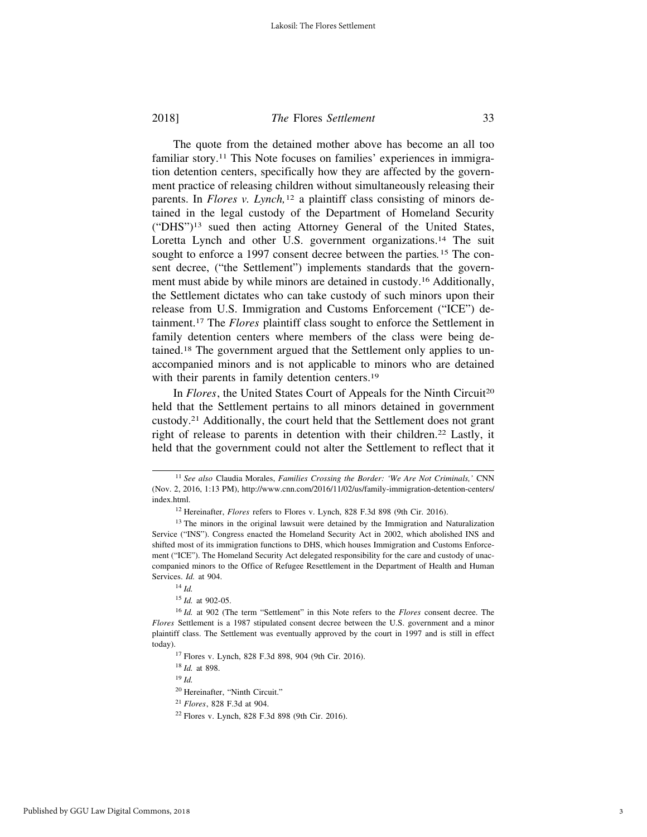The quote from the detained mother above has become an all too familiar story.11 This Note focuses on families' experiences in immigration detention centers, specifically how they are affected by the government practice of releasing children without simultaneously releasing their parents. In *Flores v. Lynch,*<sup>12</sup> a plaintiff class consisting of minors detained in the legal custody of the Department of Homeland Security ("DHS")13 sued then acting Attorney General of the United States, Loretta Lynch and other U.S. government organizations.<sup>14</sup> The suit sought to enforce a 1997 consent decree between the parties*.*15 The consent decree, ("the Settlement") implements standards that the government must abide by while minors are detained in custody.16 Additionally, the Settlement dictates who can take custody of such minors upon their release from U.S. Immigration and Customs Enforcement ("ICE") detainment.17 The *Flores* plaintiff class sought to enforce the Settlement in family detention centers where members of the class were being detained.18 The government argued that the Settlement only applies to unaccompanied minors and is not applicable to minors who are detained with their parents in family detention centers.<sup>19</sup>

In *Flores*, the United States Court of Appeals for the Ninth Circuit<sup>20</sup> held that the Settlement pertains to all minors detained in government custody.21 Additionally, the court held that the Settlement does not grant right of release to parents in detention with their children.<sup>22</sup> Lastly, it held that the government could not alter the Settlement to reflect that it

<sup>11</sup> *See also* Claudia Morales, *Families Crossing the Border: 'We Are Not Criminals,'* CNN (Nov. 2, 2016, 1:13 PM), http://www.cnn.com/2016/11/02/us/family-immigration-detention-centers/ index.html.

<sup>12</sup> Hereinafter, *Flores* refers to Flores v. Lynch, 828 F.3d 898 (9th Cir. 2016).

<sup>&</sup>lt;sup>13</sup> The minors in the original lawsuit were detained by the Immigration and Naturalization Service ("INS"). Congress enacted the Homeland Security Act in 2002, which abolished INS and shifted most of its immigration functions to DHS, which houses Immigration and Customs Enforcement ("ICE"). The Homeland Security Act delegated responsibility for the care and custody of unaccompanied minors to the Office of Refugee Resettlement in the Department of Health and Human Services. *Id.* at 904.

<sup>14</sup> *Id.*

<sup>15</sup> *Id.* at 902-05.

<sup>16</sup> *Id.* at 902 (The term "Settlement" in this Note refers to the *Flores* consent decree. The *Flores* Settlement is a 1987 stipulated consent decree between the U.S. government and a minor plaintiff class. The Settlement was eventually approved by the court in 1997 and is still in effect today).

<sup>17</sup> Flores v. Lynch, 828 F.3d 898, 904 (9th Cir. 2016).

<sup>18</sup> *Id.* at 898.

<sup>19</sup> *Id.*

<sup>20</sup> Hereinafter, "Ninth Circuit."

<sup>21</sup> *Flores*, 828 F.3d at 904.

<sup>22</sup> Flores v. Lynch, 828 F.3d 898 (9th Cir. 2016).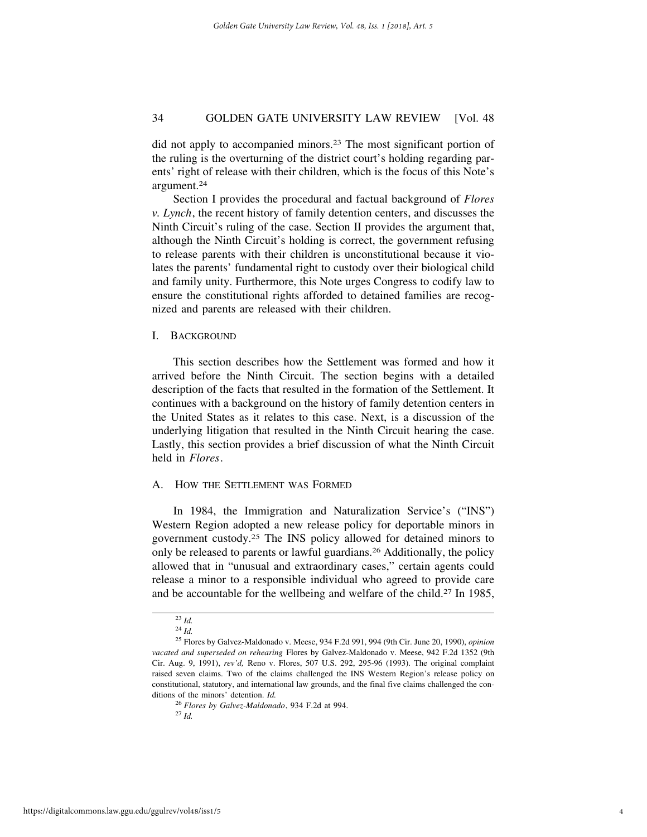did not apply to accompanied minors.23 The most significant portion of the ruling is the overturning of the district court's holding regarding parents' right of release with their children, which is the focus of this Note's argument.24

Section I provides the procedural and factual background of *Flores v. Lynch*, the recent history of family detention centers, and discusses the Ninth Circuit's ruling of the case. Section II provides the argument that, although the Ninth Circuit's holding is correct, the government refusing to release parents with their children is unconstitutional because it violates the parents' fundamental right to custody over their biological child and family unity. Furthermore, this Note urges Congress to codify law to ensure the constitutional rights afforded to detained families are recognized and parents are released with their children.

#### I. BACKGROUND

This section describes how the Settlement was formed and how it arrived before the Ninth Circuit. The section begins with a detailed description of the facts that resulted in the formation of the Settlement. It continues with a background on the history of family detention centers in the United States as it relates to this case. Next, is a discussion of the underlying litigation that resulted in the Ninth Circuit hearing the case. Lastly, this section provides a brief discussion of what the Ninth Circuit held in *Flores*.

#### A. HOW THE SETTLEMENT WAS FORMED

In 1984, the Immigration and Naturalization Service's ("INS") Western Region adopted a new release policy for deportable minors in government custody.25 The INS policy allowed for detained minors to only be released to parents or lawful guardians.26 Additionally, the policy allowed that in "unusual and extraordinary cases," certain agents could release a minor to a responsible individual who agreed to provide care and be accountable for the wellbeing and welfare of the child.27 In 1985,

<sup>23</sup> *Id.*

<sup>24</sup> *Id.*

<sup>25</sup> Flores by Galvez-Maldonado v. Meese, 934 F.2d 991, 994 (9th Cir. June 20, 1990), *opinion vacated and superseded on rehearing* Flores by Galvez-Maldonado v. Meese, 942 F.2d 1352 (9th Cir. Aug. 9, 1991), *rev'd,* Reno v. Flores, 507 U.S. 292, 295-96 (1993). The original complaint raised seven claims. Two of the claims challenged the INS Western Region's release policy on constitutional, statutory, and international law grounds, and the final five claims challenged the conditions of the minors' detention. *Id.*

<sup>26</sup> *Flores by Galvez-Maldonado*, 934 F.2d at 994.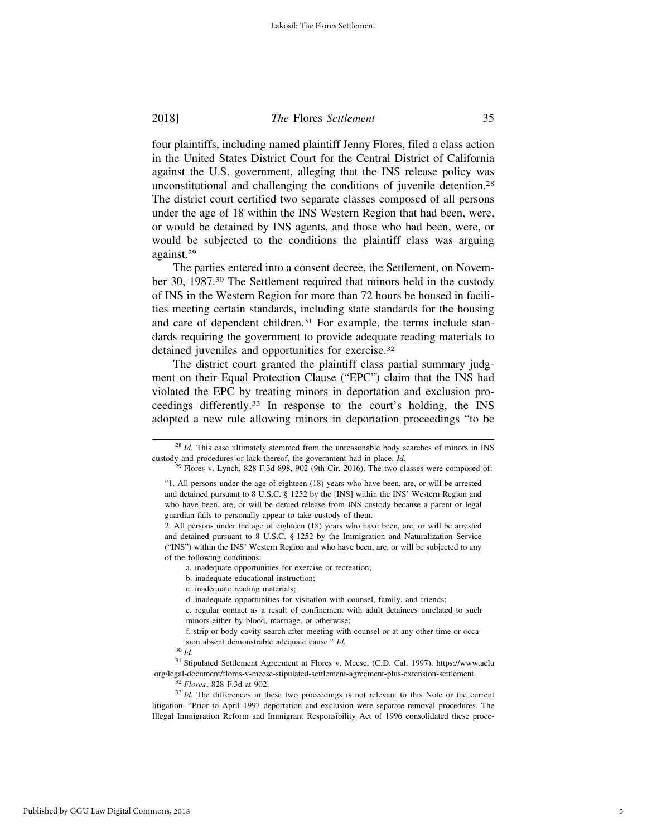four plaintiffs, including named plaintiff Jenny Flores, filed a class action in the United States District Court for the Central District of California against the U.S. government, alleging that the INS release policy was unconstitutional and challenging the conditions of juvenile detention.28 The district court certified two separate classes composed of all persons under the age of 18 within the INS Western Region that had been, were, or would be detained by INS agents, and those who had been, were, or would be subjected to the conditions the plaintiff class was arguing against.29

The parties entered into a consent decree, the Settlement, on November 30, 1987.30 The Settlement required that minors held in the custody of INS in the Western Region for more than 72 hours be housed in facilities meeting certain standards, including state standards for the housing and care of dependent children.<sup>31</sup> For example, the terms include standards requiring the government to provide adequate reading materials to detained juveniles and opportunities for exercise.32

The district court granted the plaintiff class partial summary judgment on their Equal Protection Clause ("EPC") claim that the INS had violated the EPC by treating minors in deportation and exclusion proceedings differently.33 In response to the court's holding, the INS adopted a new rule allowing minors in deportation proceedings "to be

<sup>&</sup>lt;sup>28</sup> *Id.* This case ultimately stemmed from the unreasonable body searches of minors in INS custody and procedures or lack thereof, the government had in place. *Id.*

 $29$  Flores v. Lynch, 828 F.3d 898, 902 (9th Cir. 2016). The two classes were composed of:

<sup>&</sup>quot;1. All persons under the age of eighteen (18) years who have been, are, or will be arrested and detained pursuant to 8 U.S.C. § 1252 by the [INS] within the INS' Western Region and who have been, are, or will be denied release from INS custody because a parent or legal guardian fails to personally appear to take custody of them.

<sup>2.</sup> All persons under the age of eighteen (18) years who have been, are, or will be arrested and detained pursuant to 8 U.S.C. § 1252 by the Immigration and Naturalization Service ("INS") within the INS' Western Region and who have been, are, or will be subjected to any of the following conditions:

a. inadequate opportunities for exercise or recreation;

b. inadequate educational instruction;

c. inadequate reading materials;

d. inadequate opportunities for visitation with counsel, family, and friends;

e. regular contact as a result of confinement with adult detainees unrelated to such minors either by blood, marriage, or otherwise;

f. strip or body cavity search after meeting with counsel or at any other time or occasion absent demonstrable adequate cause." *Id.*

<sup>30</sup> *Id.*

<sup>31</sup> Stipulated Settlement Agreement at Flores v. Meese, (C.D. Cal. 1997), https://www.aclu .org/legal-document/flores-v-meese-stipulated-settlement-agreement-plus-extension-settlement.

<sup>32</sup> *Flores*, 828 F.3d at 902.

<sup>&</sup>lt;sup>33</sup> *Id.* The differences in these two proceedings is not relevant to this Note or the current litigation. "Prior to April 1997 deportation and exclusion were separate removal procedures. The Illegal Immigration Reform and Immigrant Responsibility Act of 1996 consolidated these proce-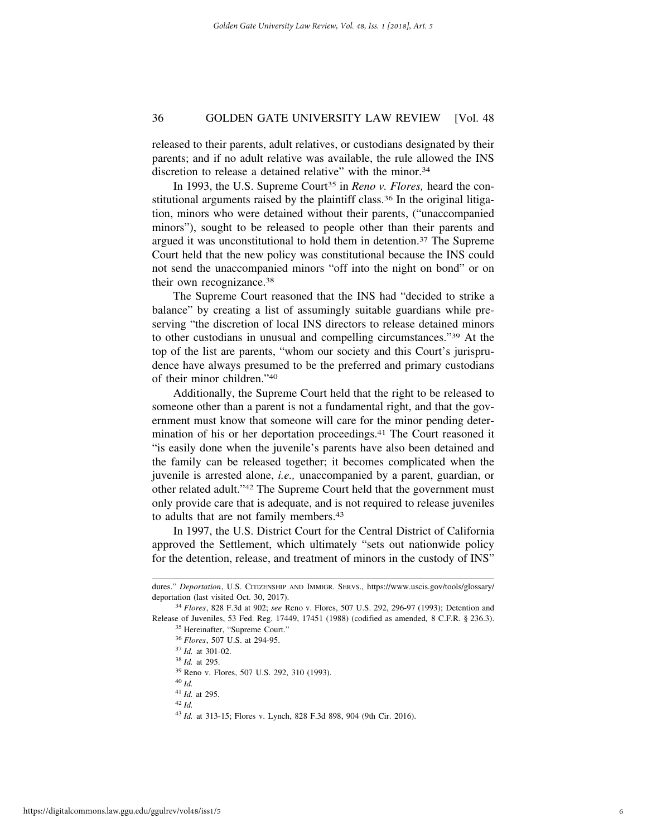released to their parents, adult relatives, or custodians designated by their parents; and if no adult relative was available, the rule allowed the INS discretion to release a detained relative" with the minor.<sup>34</sup>

In 1993, the U.S. Supreme Court<sup>35</sup> in *Reno v. Flores*, heard the constitutional arguments raised by the plaintiff class.36 In the original litigation, minors who were detained without their parents, ("unaccompanied minors"), sought to be released to people other than their parents and argued it was unconstitutional to hold them in detention.37 The Supreme Court held that the new policy was constitutional because the INS could not send the unaccompanied minors "off into the night on bond" or on their own recognizance.38

The Supreme Court reasoned that the INS had "decided to strike a balance" by creating a list of assumingly suitable guardians while preserving "the discretion of local INS directors to release detained minors to other custodians in unusual and compelling circumstances."39 At the top of the list are parents, "whom our society and this Court's jurisprudence have always presumed to be the preferred and primary custodians of their minor children."40

Additionally, the Supreme Court held that the right to be released to someone other than a parent is not a fundamental right, and that the government must know that someone will care for the minor pending determination of his or her deportation proceedings.<sup>41</sup> The Court reasoned it "is easily done when the juvenile's parents have also been detained and the family can be released together; it becomes complicated when the juvenile is arrested alone, *i.e.,* unaccompanied by a parent, guardian, or other related adult."42 The Supreme Court held that the government must only provide care that is adequate, and is not required to release juveniles to adults that are not family members.43

In 1997, the U.S. District Court for the Central District of California approved the Settlement, which ultimately "sets out nationwide policy for the detention, release, and treatment of minors in the custody of INS"

dures." *Deportation*, U.S. CITIZENSHIP AND IMMIGR. SERVS., https://www.uscis.gov/tools/glossary/ deportation (last visited Oct. 30, 2017).

<sup>34</sup> *Flores*, 828 F.3d at 902; *see* Reno v. Flores, 507 U.S. 292, 296-97 (1993); Detention and Release of Juveniles, 53 Fed. Reg. 17449, 17451 (1988) (codified as amended*,* 8 C.F.R. § 236.3).

<sup>35</sup> Hereinafter, "Supreme Court."

<sup>36</sup> *Flores*, 507 U.S. at 294-95.

<sup>37</sup> *Id.* at 301-02.

<sup>38</sup> *Id.* at 295.

<sup>39</sup> Reno v. Flores, 507 U.S. 292, 310 (1993).

<sup>40</sup> *Id.*

<sup>41</sup> *Id.* at 295.

<sup>43</sup> *Id.* at 313-15; Flores v. Lynch, 828 F.3d 898, 904 (9th Cir. 2016).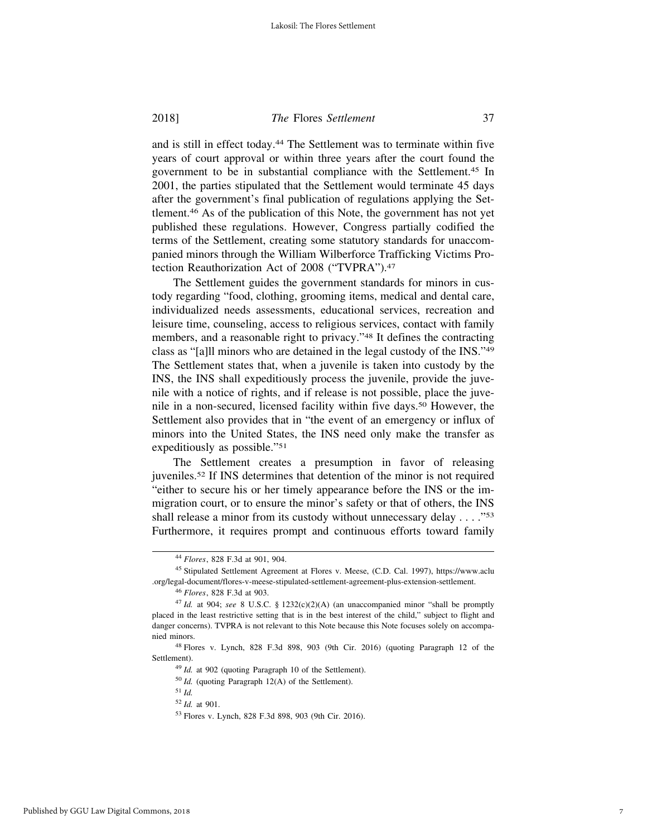and is still in effect today.44 The Settlement was to terminate within five years of court approval or within three years after the court found the government to be in substantial compliance with the Settlement.45 In 2001, the parties stipulated that the Settlement would terminate 45 days after the government's final publication of regulations applying the Settlement.46 As of the publication of this Note, the government has not yet published these regulations. However, Congress partially codified the terms of the Settlement, creating some statutory standards for unaccompanied minors through the William Wilberforce Trafficking Victims Protection Reauthorization Act of 2008 ("TVPRA").47

The Settlement guides the government standards for minors in custody regarding "food, clothing, grooming items, medical and dental care, individualized needs assessments, educational services, recreation and leisure time, counseling, access to religious services, contact with family members, and a reasonable right to privacy."48 It defines the contracting class as "[a]ll minors who are detained in the legal custody of the INS."49 The Settlement states that, when a juvenile is taken into custody by the INS, the INS shall expeditiously process the juvenile, provide the juvenile with a notice of rights, and if release is not possible, place the juvenile in a non-secured, licensed facility within five days.50 However, the Settlement also provides that in "the event of an emergency or influx of minors into the United States, the INS need only make the transfer as expeditiously as possible."51

The Settlement creates a presumption in favor of releasing juveniles.52 If INS determines that detention of the minor is not required "either to secure his or her timely appearance before the INS or the immigration court, or to ensure the minor's safety or that of others, the INS shall release a minor from its custody without unnecessary delay . . . . "<sup>53</sup> Furthermore, it requires prompt and continuous efforts toward family

<sup>44</sup> *Flores*, 828 F.3d at 901, 904.

<sup>45</sup> Stipulated Settlement Agreement at Flores v. Meese, (C.D. Cal. 1997), https://www.aclu .org/legal-document/flores-v-meese-stipulated-settlement-agreement-plus-extension-settlement.

<sup>46</sup> *Flores*, 828 F.3d at 903.

<sup>47</sup> *Id.* at 904; *see* 8 U.S.C. § 1232(c)(2)(A) (an unaccompanied minor "shall be promptly placed in the least restrictive setting that is in the best interest of the child," subject to flight and danger concerns). TVPRA is not relevant to this Note because this Note focuses solely on accompanied minors.

<sup>48</sup> Flores v. Lynch, 828 F.3d 898, 903 (9th Cir. 2016) (quoting Paragraph 12 of the Settlement).

<sup>49</sup> *Id.* at 902 (quoting Paragraph 10 of the Settlement).

<sup>50</sup> *Id.* (quoting Paragraph 12(A) of the Settlement).

<sup>51</sup> *Id.*

<sup>52</sup> *Id.* at 901.

<sup>53</sup> Flores v. Lynch, 828 F.3d 898, 903 (9th Cir. 2016).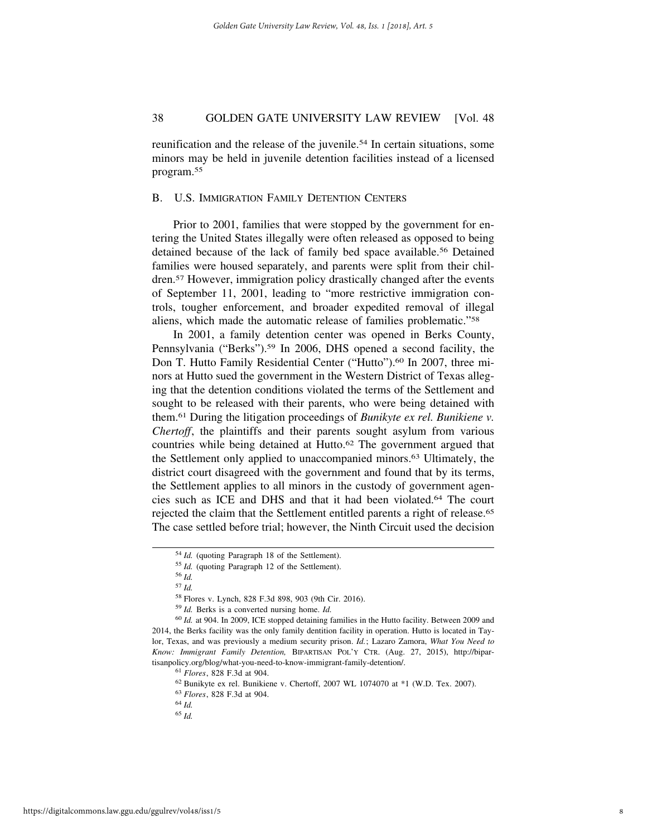reunification and the release of the juvenile.<sup>54</sup> In certain situations, some minors may be held in juvenile detention facilities instead of a licensed program.55

#### B. U.S. IMMIGRATION FAMILY DETENTION CENTERS

Prior to 2001, families that were stopped by the government for entering the United States illegally were often released as opposed to being detained because of the lack of family bed space available.<sup>56</sup> Detained families were housed separately, and parents were split from their children.57 However, immigration policy drastically changed after the events of September 11, 2001, leading to "more restrictive immigration controls, tougher enforcement, and broader expedited removal of illegal aliens, which made the automatic release of families problematic."58

In 2001, a family detention center was opened in Berks County, Pennsylvania ("Berks").<sup>59</sup> In 2006, DHS opened a second facility, the Don T. Hutto Family Residential Center ("Hutto").<sup>60</sup> In 2007, three minors at Hutto sued the government in the Western District of Texas alleging that the detention conditions violated the terms of the Settlement and sought to be released with their parents, who were being detained with them.61 During the litigation proceedings of *Bunikyte ex rel. Bunikiene v. Chertoff*, the plaintiffs and their parents sought asylum from various countries while being detained at Hutto.<sup>62</sup> The government argued that the Settlement only applied to unaccompanied minors.63 Ultimately, the district court disagreed with the government and found that by its terms, the Settlement applies to all minors in the custody of government agencies such as ICE and DHS and that it had been violated.64 The court rejected the claim that the Settlement entitled parents a right of release.65 The case settled before trial; however, the Ninth Circuit used the decision

<sup>54</sup> *Id.* (quoting Paragraph 18 of the Settlement).

<sup>55</sup> *Id.* (quoting Paragraph 12 of the Settlement).

<sup>56</sup> *Id.* <sup>57</sup> *Id.*

<sup>58</sup> Flores v. Lynch, 828 F.3d 898, 903 (9th Cir. 2016).

<sup>59</sup> *Id.* Berks is a converted nursing home. *Id.*

<sup>60</sup> *Id.* at 904. In 2009, ICE stopped detaining families in the Hutto facility. Between 2009 and 2014, the Berks facility was the only family dentition facility in operation. Hutto is located in Taylor, Texas, and was previously a medium security prison. *Id.*; Lazaro Zamora, *What You Need to Know: Immigrant Family Detention,* BIPARTISAN POL'Y CTR. (Aug. 27, 2015), http://bipartisanpolicy.org/blog/what-you-need-to-know-immigrant-family-detention/.

<sup>61</sup> *Flores*, 828 F.3d at 904.

 $62$  Bunikyte ex rel. Bunikiene v. Chertoff, 2007 WL 1074070 at  $*1$  (W.D. Tex. 2007).

<sup>63</sup> *Flores*, 828 F.3d at 904.

<sup>64</sup> *Id.*

<sup>65</sup> *Id.*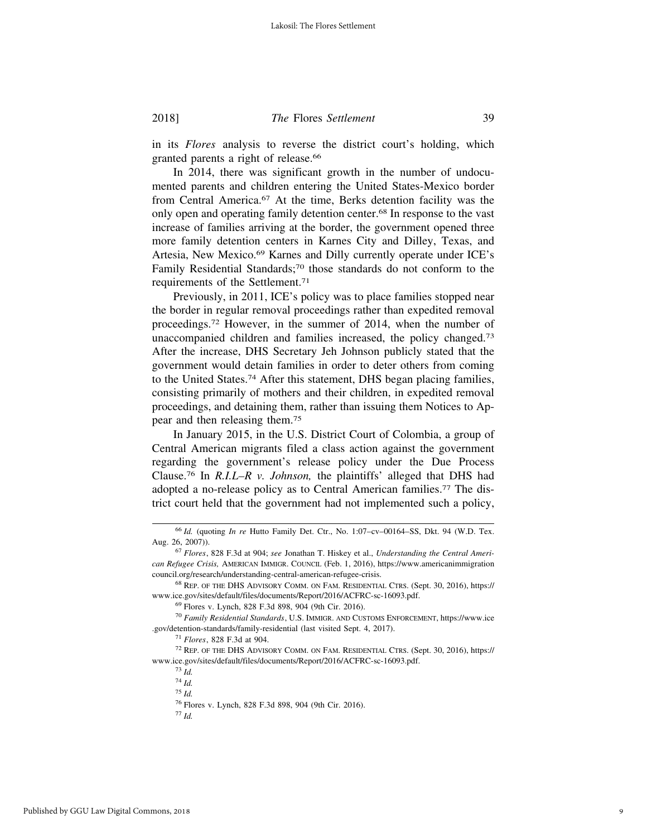in its *Flores* analysis to reverse the district court's holding, which granted parents a right of release.66

In 2014, there was significant growth in the number of undocumented parents and children entering the United States-Mexico border from Central America.67 At the time, Berks detention facility was the only open and operating family detention center.68 In response to the vast increase of families arriving at the border, the government opened three more family detention centers in Karnes City and Dilley, Texas, and Artesia, New Mexico.69 Karnes and Dilly currently operate under ICE's Family Residential Standards;70 those standards do not conform to the requirements of the Settlement.71

Previously, in 2011, ICE's policy was to place families stopped near the border in regular removal proceedings rather than expedited removal proceedings.72 However, in the summer of 2014, when the number of unaccompanied children and families increased, the policy changed.73 After the increase, DHS Secretary Jeh Johnson publicly stated that the government would detain families in order to deter others from coming to the United States.74 After this statement, DHS began placing families, consisting primarily of mothers and their children, in expedited removal proceedings, and detaining them, rather than issuing them Notices to Appear and then releasing them.75

In January 2015, in the U.S. District Court of Colombia, a group of Central American migrants filed a class action against the government regarding the government's release policy under the Due Process Clause.76 In *R.I.L–R v. Johnson,* the plaintiffs' alleged that DHS had adopted a no-release policy as to Central American families.77 The district court held that the government had not implemented such a policy,

<sup>66</sup> *Id.* (quoting *In re* Hutto Family Det. Ctr., No. 1:07–cv–00164–SS, Dkt. 94 (W.D. Tex. Aug. 26, 2007)).

<sup>67</sup> *Flores*, 828 F.3d at 904; *see* Jonathan T. Hiskey et al., *Understanding the Central American Refugee Crisis,* AMERICAN IMMIGR. COUNCIL (Feb. 1, 2016), https://www.americanimmigration council.org/research/understanding-central-american-refugee-crisis.

<sup>68</sup> REP. OF THE DHS ADVISORY COMM. ON FAM. RESIDENTIAL CTRS. (Sept. 30, 2016), https:// www.ice.gov/sites/default/files/documents/Report/2016/ACFRC-sc-16093.pdf.

<sup>69</sup> Flores v. Lynch, 828 F.3d 898, 904 (9th Cir. 2016).

<sup>70</sup> *Family Residential Standards*, U.S. IMMIGR. AND CUSTOMS ENFORCEMENT, https://www.ice .gov/detention-standards/family-residential (last visited Sept. 4, 2017).

<sup>71</sup> *Flores*, 828 F.3d at 904.

<sup>72</sup> REP. OF THE DHS ADVISORY COMM. ON FAM. RESIDENTIAL CTRS. (Sept. 30, 2016), https:// www.ice.gov/sites/default/files/documents/Report/2016/ACFRC-sc-16093.pdf.

<sup>73</sup> *Id.*

<sup>74</sup> *Id.*

<sup>75</sup> *Id.*

<sup>76</sup> Flores v. Lynch, 828 F.3d 898, 904 (9th Cir. 2016).

<sup>77</sup> *Id.*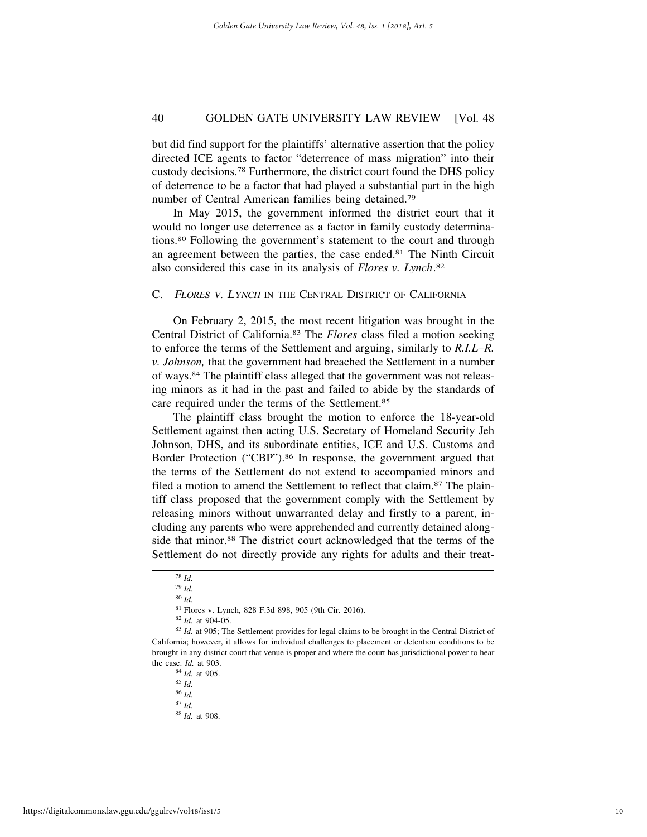but did find support for the plaintiffs' alternative assertion that the policy directed ICE agents to factor "deterrence of mass migration" into their custody decisions.78 Furthermore, the district court found the DHS policy of deterrence to be a factor that had played a substantial part in the high number of Central American families being detained.79

In May 2015, the government informed the district court that it would no longer use deterrence as a factor in family custody determinations.80 Following the government's statement to the court and through an agreement between the parties, the case ended.81 The Ninth Circuit also considered this case in its analysis of *Flores v. Lynch*. 82

#### C. <sup>F</sup>LORES <sup>V</sup>. LYNCH IN THE CENTRAL DISTRICT OF CALIFORNIA

On February 2, 2015, the most recent litigation was brought in the Central District of California.83 The *Flores* class filed a motion seeking to enforce the terms of the Settlement and arguing, similarly to *R.I.L–R. v. Johnson,* that the government had breached the Settlement in a number of ways.84 The plaintiff class alleged that the government was not releasing minors as it had in the past and failed to abide by the standards of care required under the terms of the Settlement.85

The plaintiff class brought the motion to enforce the 18-year-old Settlement against then acting U.S. Secretary of Homeland Security Jeh Johnson, DHS, and its subordinate entities, ICE and U.S. Customs and Border Protection ("CBP").<sup>86</sup> In response, the government argued that the terms of the Settlement do not extend to accompanied minors and filed a motion to amend the Settlement to reflect that claim.87 The plaintiff class proposed that the government comply with the Settlement by releasing minors without unwarranted delay and firstly to a parent, including any parents who were apprehended and currently detained alongside that minor.<sup>88</sup> The district court acknowledged that the terms of the Settlement do not directly provide any rights for adults and their treat-

<sup>81</sup> Flores v. Lynch, 828 F.3d 898, 905 (9th Cir. 2016).

<sup>82</sup> *Id.* at 904-05.

<sup>83</sup> *Id.* at 905; The Settlement provides for legal claims to be brought in the Central District of California; however, it allows for individual challenges to placement or detention conditions to be brought in any district court that venue is proper and where the court has jurisdictional power to hear the case. *Id.* at 903.

<sup>84</sup> *Id.* at 905.

<sup>85</sup> *Id.*

<sup>86</sup> *Id.*

<sup>78</sup> *Id.* <sup>79</sup> *Id.*

<sup>80</sup> *Id.*

<sup>88</sup> *Id.* at 908.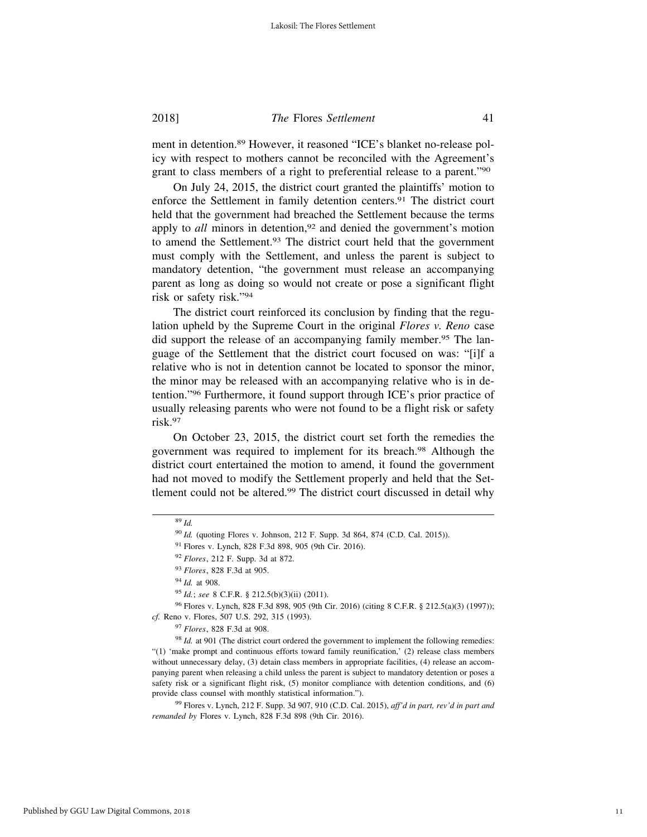ment in detention.89 However, it reasoned "ICE's blanket no-release policy with respect to mothers cannot be reconciled with the Agreement's grant to class members of a right to preferential release to a parent."90

On July 24, 2015, the district court granted the plaintiffs' motion to enforce the Settlement in family detention centers.91 The district court held that the government had breached the Settlement because the terms apply to *all* minors in detention,<sup>92</sup> and denied the government's motion to amend the Settlement.93 The district court held that the government must comply with the Settlement, and unless the parent is subject to mandatory detention, "the government must release an accompanying parent as long as doing so would not create or pose a significant flight risk or safety risk."94

The district court reinforced its conclusion by finding that the regulation upheld by the Supreme Court in the original *Flores v. Reno* case did support the release of an accompanying family member.<sup>95</sup> The language of the Settlement that the district court focused on was: "[i]f a relative who is not in detention cannot be located to sponsor the minor, the minor may be released with an accompanying relative who is in detention."96 Furthermore, it found support through ICE's prior practice of usually releasing parents who were not found to be a flight risk or safety risk<sup>97</sup>

On October 23, 2015, the district court set forth the remedies the government was required to implement for its breach.98 Although the district court entertained the motion to amend, it found the government had not moved to modify the Settlement properly and held that the Settlement could not be altered.99 The district court discussed in detail why

<sup>89</sup> *Id.*

<sup>90</sup> *Id.* (quoting Flores v. Johnson, 212 F. Supp. 3d 864, 874 (C.D. Cal. 2015)).

<sup>91</sup> Flores v. Lynch, 828 F.3d 898, 905 (9th Cir. 2016).

<sup>92</sup> *Flores*, 212 F. Supp. 3d at 872.

<sup>93</sup> *Flores*, 828 F.3d at 905.

<sup>94</sup> *Id.* at 908.

<sup>95</sup> *Id.*; *see* 8 C.F.R. § 212.5(b)(3)(ii) (2011).

<sup>96</sup> Flores v. Lynch, 828 F.3d 898, 905 (9th Cir. 2016) (citing 8 C.F.R. § 212.5(a)(3) (1997)); *cf.* Reno v. Flores, 507 U.S. 292, 315 (1993).

<sup>97</sup> *Flores*, 828 F.3d at 908.

<sup>&</sup>lt;sup>98</sup> *Id.* at 901 (The district court ordered the government to implement the following remedies: "(1) 'make prompt and continuous efforts toward family reunification,' (2) release class members without unnecessary delay, (3) detain class members in appropriate facilities, (4) release an accompanying parent when releasing a child unless the parent is subject to mandatory detention or poses a safety risk or a significant flight risk, (5) monitor compliance with detention conditions, and (6) provide class counsel with monthly statistical information.").

<sup>99</sup> Flores v. Lynch, 212 F. Supp. 3d 907, 910 (C.D. Cal. 2015), *aff'd in part, rev'd in part and remanded by* Flores v. Lynch, 828 F.3d 898 (9th Cir. 2016).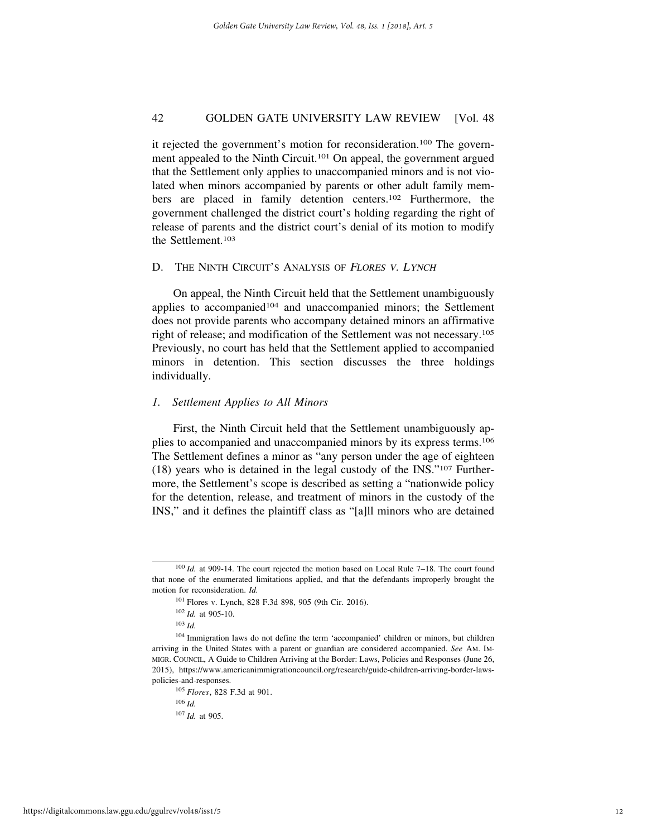it rejected the government's motion for reconsideration.100 The government appealed to the Ninth Circuit.101 On appeal, the government argued that the Settlement only applies to unaccompanied minors and is not violated when minors accompanied by parents or other adult family members are placed in family detention centers.102 Furthermore, the government challenged the district court's holding regarding the right of release of parents and the district court's denial of its motion to modify the Settlement.103

#### D. THE NINTH CIRCUIT'S ANALYSIS OF FLORES V. LYNCH

On appeal, the Ninth Circuit held that the Settlement unambiguously applies to accompanied<sup>104</sup> and unaccompanied minors; the Settlement does not provide parents who accompany detained minors an affirmative right of release; and modification of the Settlement was not necessary.105 Previously, no court has held that the Settlement applied to accompanied minors in detention. This section discusses the three holdings individually.

#### *1. Settlement Applies to All Minors*

First, the Ninth Circuit held that the Settlement unambiguously applies to accompanied and unaccompanied minors by its express terms.106 The Settlement defines a minor as "any person under the age of eighteen (18) years who is detained in the legal custody of the INS."107 Furthermore, the Settlement's scope is described as setting a "nationwide policy for the detention, release, and treatment of minors in the custody of the INS," and it defines the plaintiff class as "[a]ll minors who are detained

<sup>100</sup> *Id.* at 909-14. The court rejected the motion based on Local Rule 7–18. The court found that none of the enumerated limitations applied, and that the defendants improperly brought the motion for reconsideration. *Id.*

<sup>101</sup> Flores v. Lynch, 828 F.3d 898, 905 (9th Cir. 2016).

<sup>102</sup> *Id.* at 905-10.

<sup>103</sup> *Id.*

<sup>104</sup> Immigration laws do not define the term 'accompanied' children or minors, but children arriving in the United States with a parent or guardian are considered accompanied. *See* AM. IM-MIGR. COUNCIL, A Guide to Children Arriving at the Border: Laws, Policies and Responses (June 26, 2015), https://www.americanimmigrationcouncil.org/research/guide-children-arriving-border-lawspolicies-and-responses.

<sup>105</sup> *Flores*, 828 F.3d at 901.

<sup>106</sup> *Id.*

<sup>107</sup> *Id.* at 905.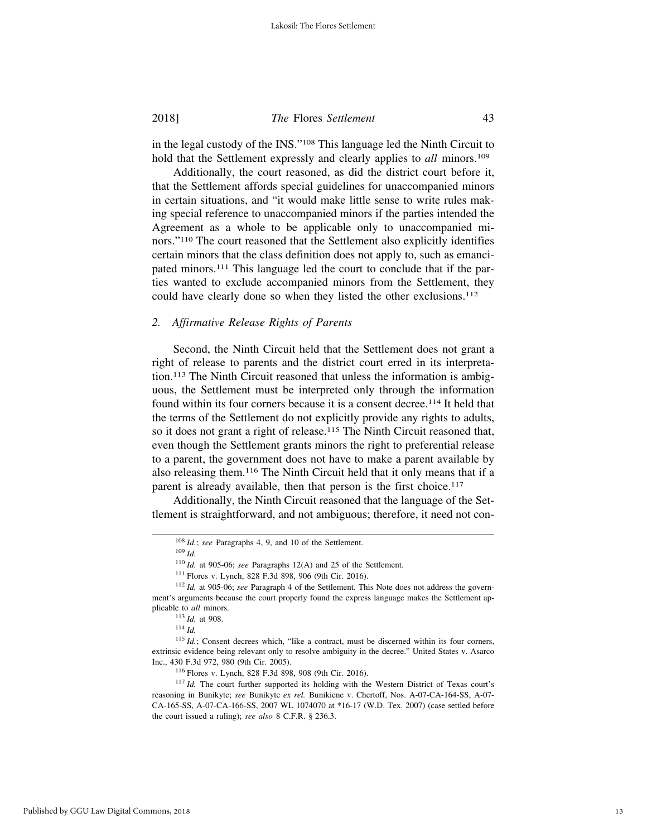in the legal custody of the INS."108 This language led the Ninth Circuit to hold that the Settlement expressly and clearly applies to *all* minors.<sup>109</sup>

Additionally, the court reasoned, as did the district court before it, that the Settlement affords special guidelines for unaccompanied minors in certain situations, and "it would make little sense to write rules making special reference to unaccompanied minors if the parties intended the Agreement as a whole to be applicable only to unaccompanied minors."110 The court reasoned that the Settlement also explicitly identifies certain minors that the class definition does not apply to, such as emancipated minors.111 This language led the court to conclude that if the parties wanted to exclude accompanied minors from the Settlement, they could have clearly done so when they listed the other exclusions.<sup>112</sup>

#### *2. Affirmative Release Rights of Parents*

Second, the Ninth Circuit held that the Settlement does not grant a right of release to parents and the district court erred in its interpretation.113 The Ninth Circuit reasoned that unless the information is ambiguous, the Settlement must be interpreted only through the information found within its four corners because it is a consent decree.<sup>114</sup> It held that the terms of the Settlement do not explicitly provide any rights to adults, so it does not grant a right of release.<sup>115</sup> The Ninth Circuit reasoned that, even though the Settlement grants minors the right to preferential release to a parent, the government does not have to make a parent available by also releasing them.116 The Ninth Circuit held that it only means that if a parent is already available, then that person is the first choice.<sup>117</sup>

Additionally, the Ninth Circuit reasoned that the language of the Settlement is straightforward, and not ambiguous; therefore, it need not con-

<sup>108</sup> *Id.*; *see* Paragraphs 4, 9, and 10 of the Settlement.

<sup>109</sup> *Id.*

<sup>110</sup> *Id.* at 905-06; *see* Paragraphs 12(A) and 25 of the Settlement.

<sup>111</sup> Flores v. Lynch, 828 F.3d 898, 906 (9th Cir. 2016).

<sup>112</sup> *Id.* at 905-06; *see* Paragraph 4 of the Settlement. This Note does not address the government's arguments because the court properly found the express language makes the Settlement applicable to *all* minors.

<sup>113</sup> *Id.* at 908.

<sup>114</sup> *Id.*

<sup>&</sup>lt;sup>115</sup> *Id.*; Consent decrees which, "like a contract, must be discerned within its four corners, extrinsic evidence being relevant only to resolve ambiguity in the decree." United States v. Asarco Inc., 430 F.3d 972, 980 (9th Cir. 2005).

<sup>116</sup> Flores v. Lynch, 828 F.3d 898, 908 (9th Cir. 2016).

<sup>117</sup> *Id.* The court further supported its holding with the Western District of Texas court's reasoning in Bunikyte; *see* Bunikyte *ex rel.* Bunikiene v. Chertoff, Nos. A-07-CA-164-SS, A-07- CA-165-SS, A-07-CA-166-SS, 2007 WL 1074070 at \*16-17 (W.D. Tex. 2007) (case settled before the court issued a ruling); *see also* 8 C.F.R. § 236.3.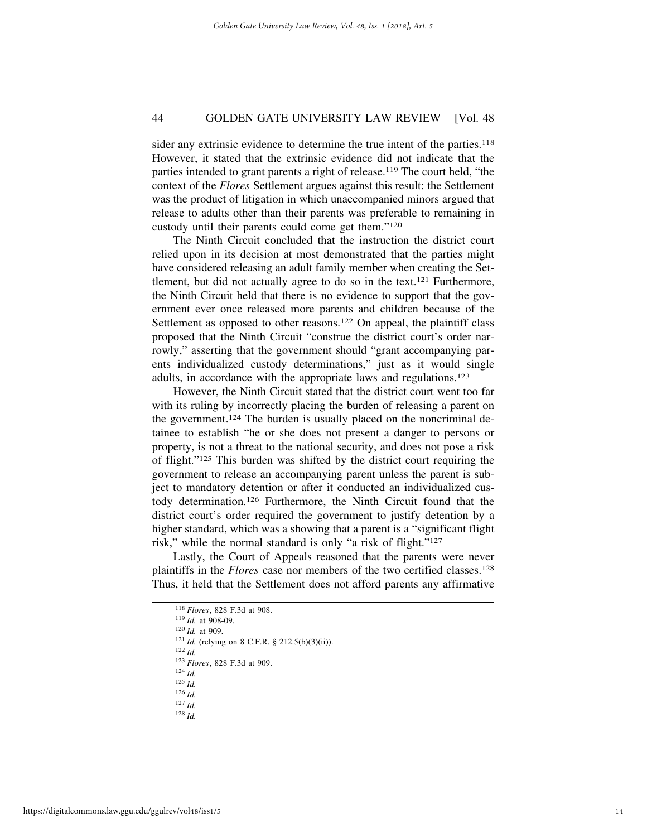sider any extrinsic evidence to determine the true intent of the parties.<sup>118</sup> However, it stated that the extrinsic evidence did not indicate that the parties intended to grant parents a right of release.119 The court held, "the context of the *Flores* Settlement argues against this result: the Settlement was the product of litigation in which unaccompanied minors argued that release to adults other than their parents was preferable to remaining in custody until their parents could come get them."120

The Ninth Circuit concluded that the instruction the district court relied upon in its decision at most demonstrated that the parties might have considered releasing an adult family member when creating the Settlement, but did not actually agree to do so in the text.<sup>121</sup> Furthermore, the Ninth Circuit held that there is no evidence to support that the government ever once released more parents and children because of the Settlement as opposed to other reasons.<sup>122</sup> On appeal, the plaintiff class proposed that the Ninth Circuit "construe the district court's order narrowly," asserting that the government should "grant accompanying parents individualized custody determinations," just as it would single adults, in accordance with the appropriate laws and regulations.123

However, the Ninth Circuit stated that the district court went too far with its ruling by incorrectly placing the burden of releasing a parent on the government.124 The burden is usually placed on the noncriminal detainee to establish "he or she does not present a danger to persons or property, is not a threat to the national security, and does not pose a risk of flight."125 This burden was shifted by the district court requiring the government to release an accompanying parent unless the parent is subject to mandatory detention or after it conducted an individualized custody determination.126 Furthermore, the Ninth Circuit found that the district court's order required the government to justify detention by a higher standard, which was a showing that a parent is a "significant flight risk," while the normal standard is only "a risk of flight."127

Lastly, the Court of Appeals reasoned that the parents were never plaintiffs in the *Flores* case nor members of the two certified classes.128 Thus, it held that the Settlement does not afford parents any affirmative

<sup>124</sup> *Id.*

- <sup>126</sup> *Id.*
- <sup>127</sup> *Id.* <sup>128</sup> *Id.*

<sup>118</sup> *Flores*, 828 F.3d at 908.

<sup>119</sup> *Id.* at 908-09.

<sup>120</sup> *Id.* at 909.

<sup>121</sup> *Id.* (relying on 8 C.F.R. § 212.5(b)(3)(ii)).

<sup>122</sup> *Id.*

<sup>123</sup> *Flores*, 828 F.3d at 909.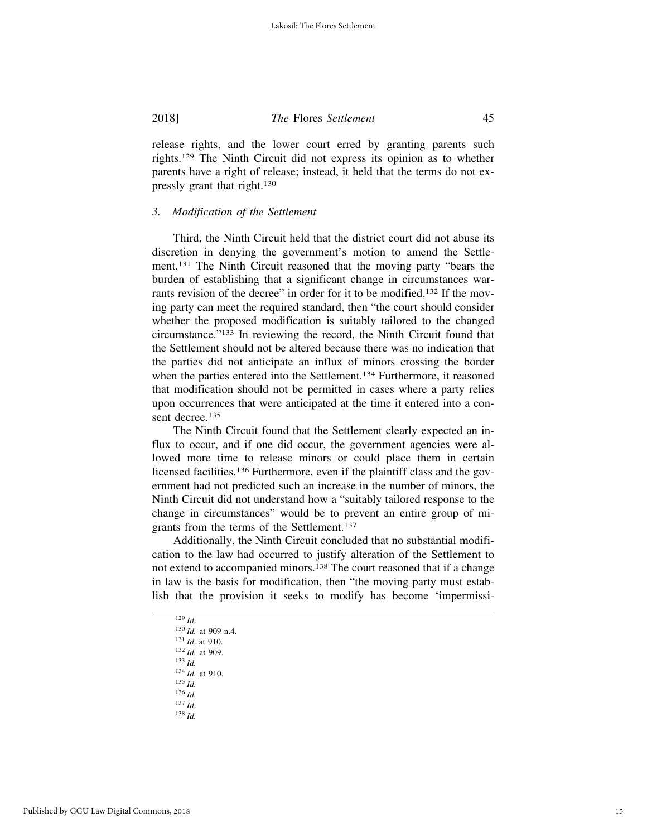release rights, and the lower court erred by granting parents such rights.129 The Ninth Circuit did not express its opinion as to whether parents have a right of release; instead, it held that the terms do not expressly grant that right.130

#### *3. Modification of the Settlement*

Third, the Ninth Circuit held that the district court did not abuse its discretion in denying the government's motion to amend the Settlement.131 The Ninth Circuit reasoned that the moving party "bears the burden of establishing that a significant change in circumstances warrants revision of the decree" in order for it to be modified.<sup>132</sup> If the moving party can meet the required standard, then "the court should consider whether the proposed modification is suitably tailored to the changed circumstance."133 In reviewing the record, the Ninth Circuit found that the Settlement should not be altered because there was no indication that the parties did not anticipate an influx of minors crossing the border when the parties entered into the Settlement.<sup>134</sup> Furthermore, it reasoned that modification should not be permitted in cases where a party relies upon occurrences that were anticipated at the time it entered into a consent decree.<sup>135</sup>

The Ninth Circuit found that the Settlement clearly expected an influx to occur, and if one did occur, the government agencies were allowed more time to release minors or could place them in certain licensed facilities.136 Furthermore, even if the plaintiff class and the government had not predicted such an increase in the number of minors, the Ninth Circuit did not understand how a "suitably tailored response to the change in circumstances" would be to prevent an entire group of migrants from the terms of the Settlement.137

Additionally, the Ninth Circuit concluded that no substantial modification to the law had occurred to justify alteration of the Settlement to not extend to accompanied minors.138 The court reasoned that if a change in law is the basis for modification, then "the moving party must establish that the provision it seeks to modify has become 'impermissi-

| ۰,<br>٠<br> |
|-------------|
|-------------|

- <sup>135</sup> *Id.* <sup>136</sup> *Id.*
- <sup>137</sup> *Id.*
- <sup>138</sup> *Id.*

<sup>130</sup> *Id.* at 909 n.4.

<sup>131</sup> *Id.* at 910.

<sup>132</sup> *Id.* at 909.

<sup>133</sup> *Id.*

<sup>134</sup> *Id.* at 910.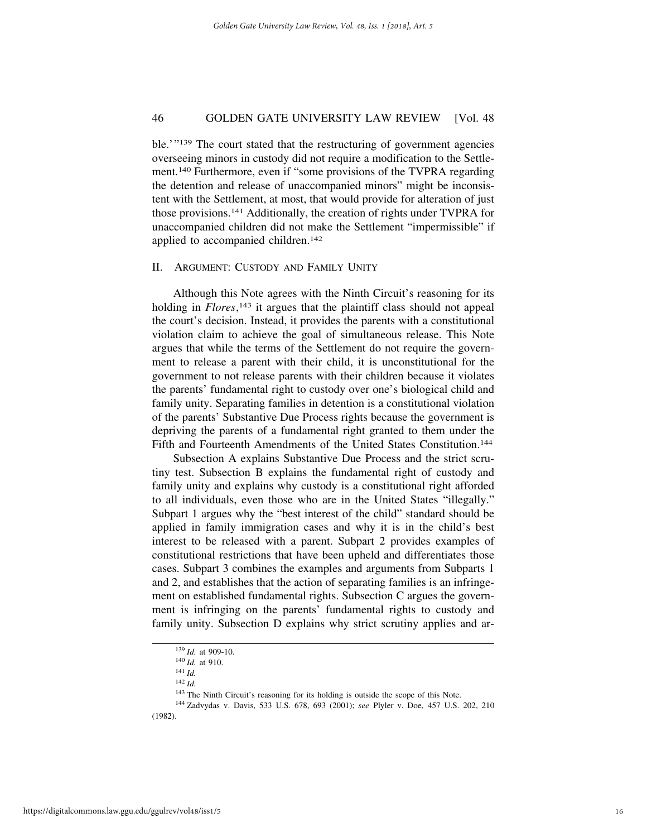ble.'"<sup>139</sup> The court stated that the restructuring of government agencies overseeing minors in custody did not require a modification to the Settlement.140 Furthermore, even if "some provisions of the TVPRA regarding the detention and release of unaccompanied minors" might be inconsistent with the Settlement, at most, that would provide for alteration of just those provisions.141 Additionally, the creation of rights under TVPRA for unaccompanied children did not make the Settlement "impermissible" if applied to accompanied children.<sup>142</sup>

#### II. ARGUMENT: CUSTODY AND FAMILY UNITY

Although this Note agrees with the Ninth Circuit's reasoning for its holding in *Flores*, 143 it argues that the plaintiff class should not appeal the court's decision. Instead, it provides the parents with a constitutional violation claim to achieve the goal of simultaneous release. This Note argues that while the terms of the Settlement do not require the government to release a parent with their child, it is unconstitutional for the government to not release parents with their children because it violates the parents' fundamental right to custody over one's biological child and family unity. Separating families in detention is a constitutional violation of the parents' Substantive Due Process rights because the government is depriving the parents of a fundamental right granted to them under the Fifth and Fourteenth Amendments of the United States Constitution.<sup>144</sup>

Subsection A explains Substantive Due Process and the strict scrutiny test. Subsection B explains the fundamental right of custody and family unity and explains why custody is a constitutional right afforded to all individuals, even those who are in the United States "illegally." Subpart 1 argues why the "best interest of the child" standard should be applied in family immigration cases and why it is in the child's best interest to be released with a parent. Subpart 2 provides examples of constitutional restrictions that have been upheld and differentiates those cases. Subpart 3 combines the examples and arguments from Subparts 1 and 2, and establishes that the action of separating families is an infringement on established fundamental rights. Subsection C argues the government is infringing on the parents' fundamental rights to custody and family unity. Subsection D explains why strict scrutiny applies and ar-

<sup>139</sup> *Id.* at 909-10.

<sup>140</sup> *Id.* at 910.

<sup>141</sup> *Id.*

<sup>142</sup> *Id.*

<sup>&</sup>lt;sup>143</sup> The Ninth Circuit's reasoning for its holding is outside the scope of this Note.

<sup>144</sup> Zadvydas v. Davis, 533 U.S. 678, 693 (2001); *see* Plyler v. Doe, 457 U.S. 202, 210 (1982).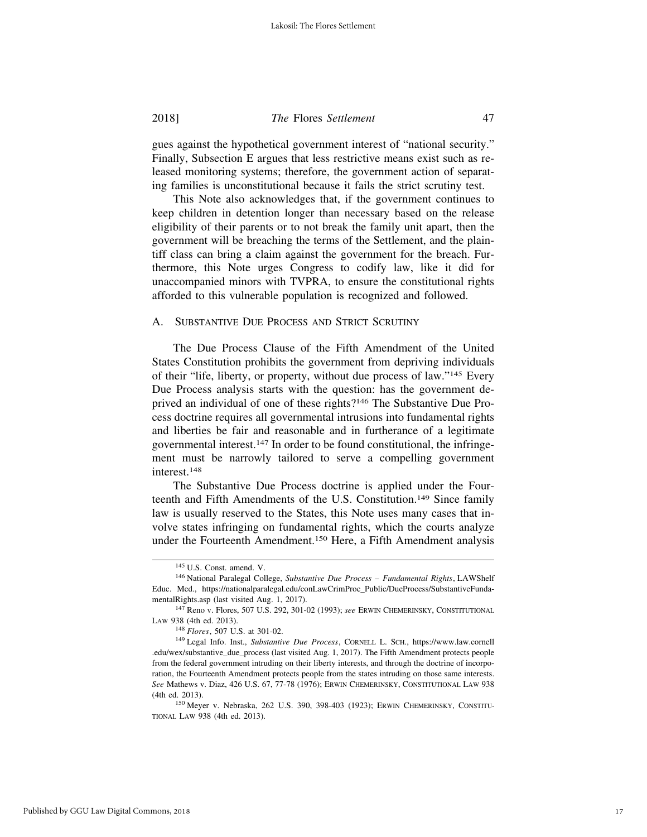gues against the hypothetical government interest of "national security." Finally, Subsection E argues that less restrictive means exist such as released monitoring systems; therefore, the government action of separating families is unconstitutional because it fails the strict scrutiny test.

This Note also acknowledges that, if the government continues to keep children in detention longer than necessary based on the release eligibility of their parents or to not break the family unit apart, then the government will be breaching the terms of the Settlement, and the plaintiff class can bring a claim against the government for the breach. Furthermore, this Note urges Congress to codify law, like it did for unaccompanied minors with TVPRA, to ensure the constitutional rights afforded to this vulnerable population is recognized and followed.

#### A. SUBSTANTIVE DUE PROCESS AND STRICT SCRUTINY

The Due Process Clause of the Fifth Amendment of the United States Constitution prohibits the government from depriving individuals of their "life, liberty, or property, without due process of law."145 Every Due Process analysis starts with the question: has the government deprived an individual of one of these rights?146 The Substantive Due Process doctrine requires all governmental intrusions into fundamental rights and liberties be fair and reasonable and in furtherance of a legitimate governmental interest.147 In order to be found constitutional, the infringement must be narrowly tailored to serve a compelling government interest.148

The Substantive Due Process doctrine is applied under the Fourteenth and Fifth Amendments of the U.S. Constitution.149 Since family law is usually reserved to the States, this Note uses many cases that involve states infringing on fundamental rights, which the courts analyze under the Fourteenth Amendment.150 Here, a Fifth Amendment analysis

<sup>145</sup> U.S. Const. amend. V.

<sup>146</sup> National Paralegal College, *Substantive Due Process – Fundamental Rights*, LAWShelf Educ. Med., https://nationalparalegal.edu/conLawCrimProc\_Public/DueProcess/SubstantiveFundamentalRights.asp (last visited Aug. 1, 2017).

<sup>147</sup> Reno v. Flores, 507 U.S. 292, 301-02 (1993); *see* ERWIN CHEMERINSKY, CONSTITUTIONAL LAW 938 (4th ed. 2013).

<sup>148</sup> *Flores*, 507 U.S. at 301-02.

<sup>149</sup> Legal Info. Inst., *Substantive Due Process*, CORNELL L. SCH., https://www.law.cornell .edu/wex/substantive\_due\_process (last visited Aug. 1, 2017). The Fifth Amendment protects people from the federal government intruding on their liberty interests, and through the doctrine of incorporation, the Fourteenth Amendment protects people from the states intruding on those same interests. *See* Mathews v. Diaz, 426 U.S. 67, 77-78 (1976); ERWIN CHEMERINSKY, CONSTITUTIONAL LAW 938 (4th ed. 2013).

<sup>150</sup> Meyer v. Nebraska, 262 U.S. 390, 398-403 (1923); ERWIN CHEMERINSKY, CONSTITU-TIONAL LAW 938 (4th ed. 2013).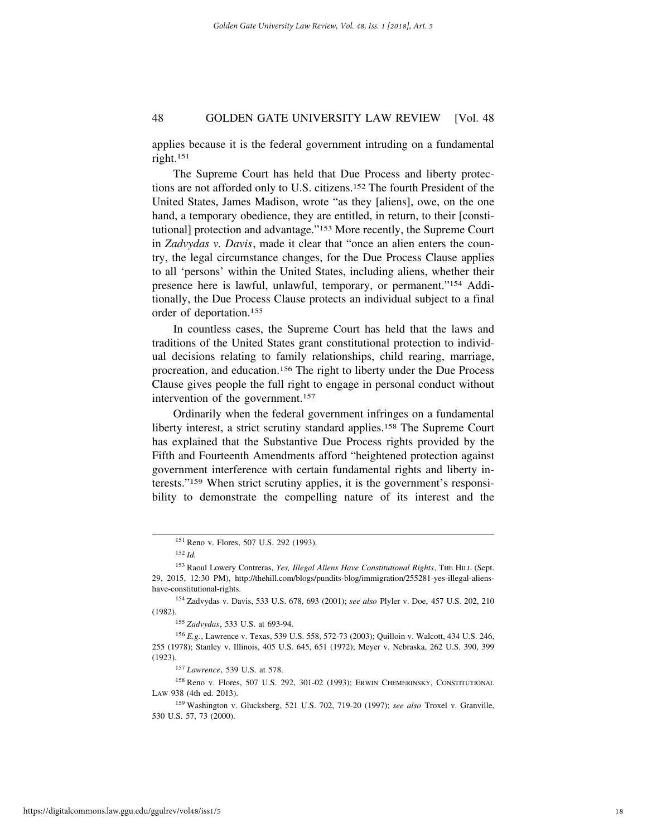applies because it is the federal government intruding on a fundamental right.151

The Supreme Court has held that Due Process and liberty protections are not afforded only to U.S. citizens.152 The fourth President of the United States, James Madison, wrote "as they [aliens], owe, on the one hand, a temporary obedience, they are entitled, in return, to their [constitutional] protection and advantage."153 More recently, the Supreme Court in *Zadvydas v. Davis*, made it clear that "once an alien enters the country, the legal circumstance changes, for the Due Process Clause applies to all 'persons' within the United States, including aliens, whether their presence here is lawful, unlawful, temporary, or permanent."154 Additionally, the Due Process Clause protects an individual subject to a final order of deportation.155

In countless cases, the Supreme Court has held that the laws and traditions of the United States grant constitutional protection to individual decisions relating to family relationships, child rearing, marriage, procreation, and education.156 The right to liberty under the Due Process Clause gives people the full right to engage in personal conduct without intervention of the government.157

Ordinarily when the federal government infringes on a fundamental liberty interest, a strict scrutiny standard applies.<sup>158</sup> The Supreme Court has explained that the Substantive Due Process rights provided by the Fifth and Fourteenth Amendments afford "heightened protection against government interference with certain fundamental rights and liberty interests."159 When strict scrutiny applies, it is the government's responsibility to demonstrate the compelling nature of its interest and the

<sup>158</sup> Reno v. Flores, 507 U.S. 292, 301-02 (1993); ERWIN CHEMERINSKY, CONSTITUTIONAL LAW 938 (4th ed. 2013).

<sup>151</sup> Reno v. Flores, 507 U.S. 292 (1993).

<sup>152</sup> *Id.*

<sup>153</sup> Raoul Lowery Contreras, *Yes, Illegal Aliens Have Constitutional Rights*, THE HILL (Sept. 29, 2015, 12:30 PM), http://thehill.com/blogs/pundits-blog/immigration/255281-yes-illegal-alienshave-constitutional-rights.

<sup>154</sup> Zadvydas v. Davis, 533 U.S. 678, 693 (2001); *see also* Plyler v. Doe, 457 U.S. 202, 210 (1982).

<sup>155</sup> *Zadvydas*, 533 U.S. at 693-94.

<sup>156</sup> *E.g.*, Lawrence v. Texas, 539 U.S. 558, 572-73 (2003); Quilloin v. Walcott, 434 U.S. 246, 255 (1978); Stanley v. Illinois, 405 U.S. 645, 651 (1972); Meyer v. Nebraska, 262 U.S. 390, 399 (1923).

<sup>157</sup> *Lawrence*, 539 U.S. at 578.

<sup>159</sup> Washington v. Glucksberg, 521 U.S. 702, 719-20 (1997); *see also* Troxel v. Granville, 530 U.S. 57, 73 (2000).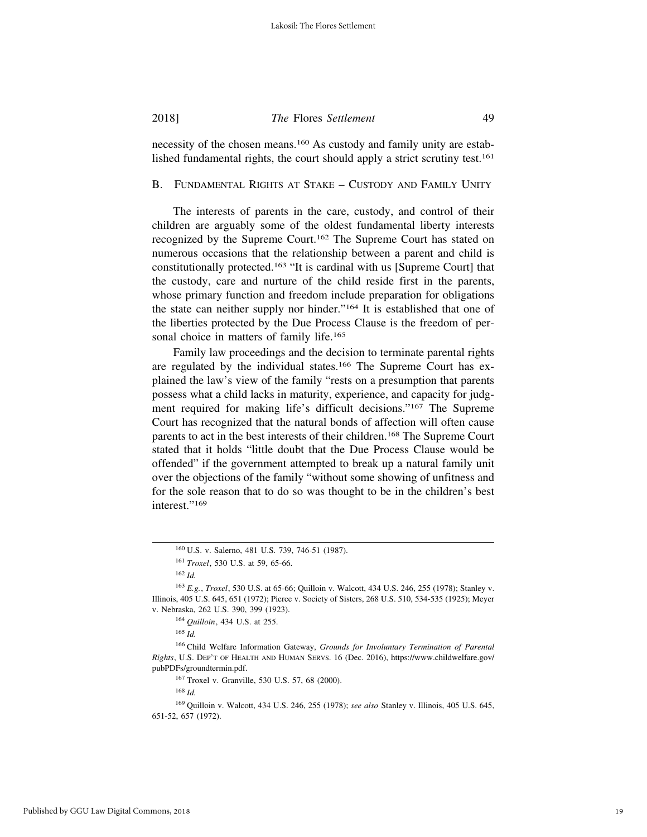necessity of the chosen means.160 As custody and family unity are established fundamental rights, the court should apply a strict scrutiny test.<sup>161</sup>

#### B. FUNDAMENTAL RIGHTS AT STAKE – CUSTODY AND FAMILY UNITY

The interests of parents in the care, custody, and control of their children are arguably some of the oldest fundamental liberty interests recognized by the Supreme Court.162 The Supreme Court has stated on numerous occasions that the relationship between a parent and child is constitutionally protected.163 "It is cardinal with us [Supreme Court] that the custody, care and nurture of the child reside first in the parents, whose primary function and freedom include preparation for obligations the state can neither supply nor hinder."164 It is established that one of the liberties protected by the Due Process Clause is the freedom of personal choice in matters of family life.<sup>165</sup>

Family law proceedings and the decision to terminate parental rights are regulated by the individual states.<sup>166</sup> The Supreme Court has explained the law's view of the family "rests on a presumption that parents possess what a child lacks in maturity, experience, and capacity for judgment required for making life's difficult decisions."167 The Supreme Court has recognized that the natural bonds of affection will often cause parents to act in the best interests of their children.168 The Supreme Court stated that it holds "little doubt that the Due Process Clause would be offended" if the government attempted to break up a natural family unit over the objections of the family "without some showing of unfitness and for the sole reason that to do so was thought to be in the children's best interest."<sup>169</sup>

<sup>160</sup> U.S. v. Salerno, 481 U.S. 739, 746-51 (1987).

<sup>161</sup> *Troxel*, 530 U.S. at 59, 65-66.

<sup>162</sup> *Id.*

<sup>163</sup> *E.g.*, *Troxel*, 530 U.S. at 65-66; Quilloin v. Walcott, 434 U.S. 246, 255 (1978); Stanley v. Illinois, 405 U.S. 645, 651 (1972); Pierce v. Society of Sisters, 268 U.S. 510, 534-535 (1925); Meyer v. Nebraska, 262 U.S. 390, 399 (1923).

<sup>164</sup> *Quilloin*, 434 U.S. at 255.

<sup>165</sup> *Id.*

<sup>166</sup> Child Welfare Information Gateway, *Grounds for Involuntary Termination of Parental Rights*, U.S. DEP'T OF HEALTH AND HUMAN SERVS. 16 (Dec. 2016), https://www.childwelfare.gov/ pubPDFs/groundtermin.pdf.

<sup>167</sup> Troxel v. Granville, 530 U.S. 57, 68 (2000).

<sup>168</sup> *Id.*

<sup>169</sup> Quilloin v. Walcott, 434 U.S. 246, 255 (1978); *see also* Stanley v. Illinois, 405 U.S. 645, 651-52, 657 (1972).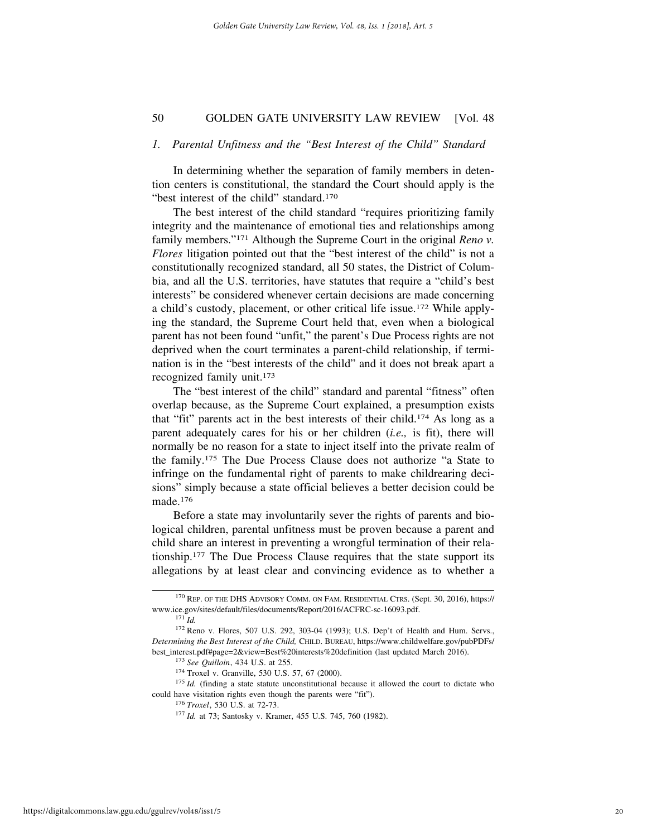#### *1. Parental Unfitness and the "Best Interest of the Child" Standard*

In determining whether the separation of family members in detention centers is constitutional, the standard the Court should apply is the "best interest of the child" standard.<sup>170</sup>

The best interest of the child standard "requires prioritizing family integrity and the maintenance of emotional ties and relationships among family members."171 Although the Supreme Court in the original *Reno v. Flores* litigation pointed out that the "best interest of the child" is not a constitutionally recognized standard, all 50 states, the District of Columbia, and all the U.S. territories, have statutes that require a "child's best interests" be considered whenever certain decisions are made concerning a child's custody, placement, or other critical life issue.172 While applying the standard, the Supreme Court held that, even when a biological parent has not been found "unfit," the parent's Due Process rights are not deprived when the court terminates a parent-child relationship, if termination is in the "best interests of the child" and it does not break apart a recognized family unit.173

The "best interest of the child" standard and parental "fitness" often overlap because, as the Supreme Court explained, a presumption exists that "fit" parents act in the best interests of their child.174 As long as a parent adequately cares for his or her children (*i.e.,* is fit), there will normally be no reason for a state to inject itself into the private realm of the family.175 The Due Process Clause does not authorize "a State to infringe on the fundamental right of parents to make childrearing decisions" simply because a state official believes a better decision could be made.176

Before a state may involuntarily sever the rights of parents and biological children, parental unfitness must be proven because a parent and child share an interest in preventing a wrongful termination of their relationship.177 The Due Process Clause requires that the state support its allegations by at least clear and convincing evidence as to whether a

<sup>174</sup> Troxel v. Granville, 530 U.S. 57, 67 (2000).

<sup>175</sup> *Id.* (finding a state statute unconstitutional because it allowed the court to dictate who could have visitation rights even though the parents were "fit").

<sup>170</sup> REP. OF THE DHS ADVISORY COMM. ON FAM. RESIDENTIAL CTRS. (Sept. 30, 2016), https:// www.ice.gov/sites/default/files/documents/Report/2016/ACFRC-sc-16093.pdf.

<sup>171</sup> *Id.*

<sup>172</sup> Reno v. Flores, 507 U.S. 292, 303-04 (1993); U.S. Dep't of Health and Hum. Servs., *Determining the Best Interest of the Child,* CHILD. BUREAU, https://www.childwelfare.gov/pubPDFs/ best\_interest.pdf#page=2&view=Best%20interests%20definition (last updated March 2016).

<sup>173</sup> *See Quilloin*, 434 U.S. at 255.

<sup>176</sup> *Troxel*, 530 U.S. at 72-73.

<sup>177</sup> *Id.* at 73; Santosky v. Kramer, 455 U.S. 745, 760 (1982).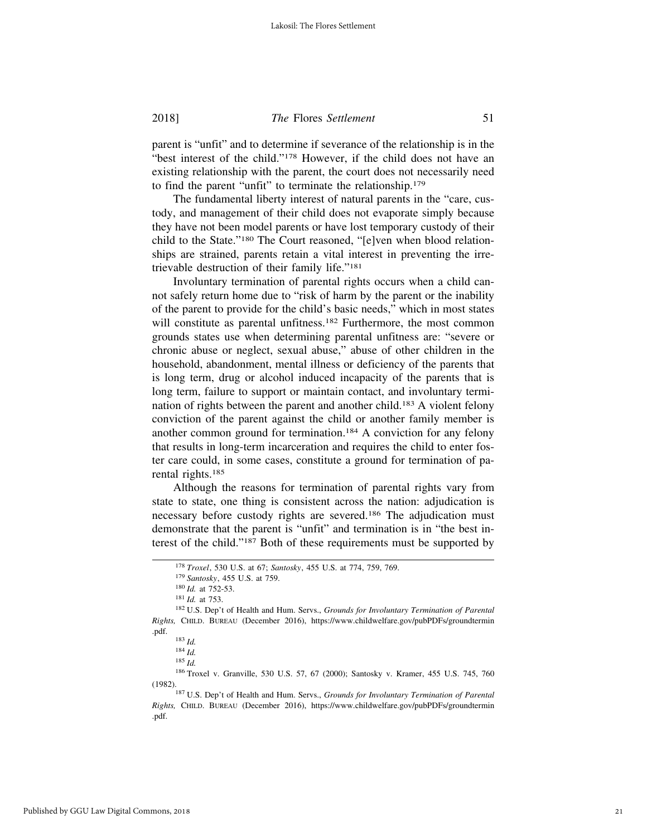parent is "unfit" and to determine if severance of the relationship is in the "best interest of the child."178 However, if the child does not have an existing relationship with the parent, the court does not necessarily need to find the parent "unfit" to terminate the relationship.179

The fundamental liberty interest of natural parents in the "care, custody, and management of their child does not evaporate simply because they have not been model parents or have lost temporary custody of their child to the State."180 The Court reasoned, "[e]ven when blood relationships are strained, parents retain a vital interest in preventing the irretrievable destruction of their family life."181

Involuntary termination of parental rights occurs when a child cannot safely return home due to "risk of harm by the parent or the inability of the parent to provide for the child's basic needs," which in most states will constitute as parental unfitness.<sup>182</sup> Furthermore, the most common grounds states use when determining parental unfitness are: "severe or chronic abuse or neglect, sexual abuse," abuse of other children in the household, abandonment, mental illness or deficiency of the parents that is long term, drug or alcohol induced incapacity of the parents that is long term, failure to support or maintain contact, and involuntary termination of rights between the parent and another child.183 A violent felony conviction of the parent against the child or another family member is another common ground for termination.184 A conviction for any felony that results in long-term incarceration and requires the child to enter foster care could, in some cases, constitute a ground for termination of parental rights.185

Although the reasons for termination of parental rights vary from state to state, one thing is consistent across the nation: adjudication is necessary before custody rights are severed.186 The adjudication must demonstrate that the parent is "unfit" and termination is in "the best interest of the child."187 Both of these requirements must be supported by

<sup>186</sup> Troxel v. Granville, 530 U.S. 57, 67 (2000); Santosky v. Kramer, 455 U.S. 745, 760

<sup>178</sup> *Troxel*, 530 U.S. at 67; *Santosky*, 455 U.S. at 774, 759, 769.

<sup>179</sup> *Santosky*, 455 U.S. at 759.

<sup>180</sup> *Id.* at 752-53.

<sup>181</sup> *Id.* at 753.

<sup>182</sup> U.S. Dep't of Health and Hum. Servs., *Grounds for Involuntary Termination of Parental Rights,* CHILD. BUREAU (December 2016), https://www.childwelfare.gov/pubPDFs/groundtermin .pdf.

<sup>183</sup> *Id.*

<sup>184</sup> *Id.* <sup>185</sup> *Id.*

<sup>&</sup>lt;sup>187</sup> U.S. Dep't of Health and Hum. Servs., *Grounds for Involuntary Termination of Parental Rights,* CHILD. BUREAU (December 2016), https://www.childwelfare.gov/pubPDFs/groundtermin .pdf.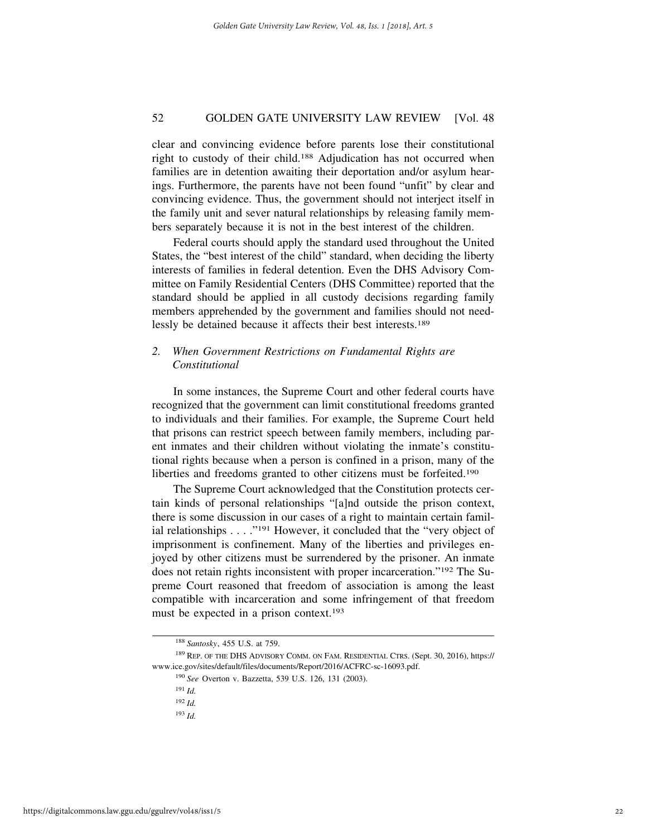clear and convincing evidence before parents lose their constitutional right to custody of their child.188 Adjudication has not occurred when families are in detention awaiting their deportation and/or asylum hearings. Furthermore, the parents have not been found "unfit" by clear and convincing evidence. Thus, the government should not interject itself in the family unit and sever natural relationships by releasing family members separately because it is not in the best interest of the children.

Federal courts should apply the standard used throughout the United States, the "best interest of the child" standard, when deciding the liberty interests of families in federal detention. Even the DHS Advisory Committee on Family Residential Centers (DHS Committee) reported that the standard should be applied in all custody decisions regarding family members apprehended by the government and families should not needlessly be detained because it affects their best interests.189

#### *2. When Government Restrictions on Fundamental Rights are Constitutional*

In some instances, the Supreme Court and other federal courts have recognized that the government can limit constitutional freedoms granted to individuals and their families. For example, the Supreme Court held that prisons can restrict speech between family members, including parent inmates and their children without violating the inmate's constitutional rights because when a person is confined in a prison, many of the liberties and freedoms granted to other citizens must be forfeited.<sup>190</sup>

The Supreme Court acknowledged that the Constitution protects certain kinds of personal relationships "[a]nd outside the prison context, there is some discussion in our cases of a right to maintain certain familial relationships . . . . "<sup>191</sup> However, it concluded that the "very object of imprisonment is confinement. Many of the liberties and privileges enjoyed by other citizens must be surrendered by the prisoner. An inmate does not retain rights inconsistent with proper incarceration."192 The Supreme Court reasoned that freedom of association is among the least compatible with incarceration and some infringement of that freedom must be expected in a prison context.<sup>193</sup>

<sup>188</sup> *Santosky*, 455 U.S. at 759.

<sup>189</sup> REP. OF THE DHS ADVISORY COMM. ON FAM. RESIDENTIAL CTRS. (Sept. 30, 2016), https:// www.ice.gov/sites/default/files/documents/Report/2016/ACFRC-sc-16093.pdf.

<sup>190</sup> *See* Overton v. Bazzetta, 539 U.S. 126, 131 (2003).

<sup>191</sup> *Id.*

<sup>192</sup> *Id.*

<sup>193</sup> *Id.*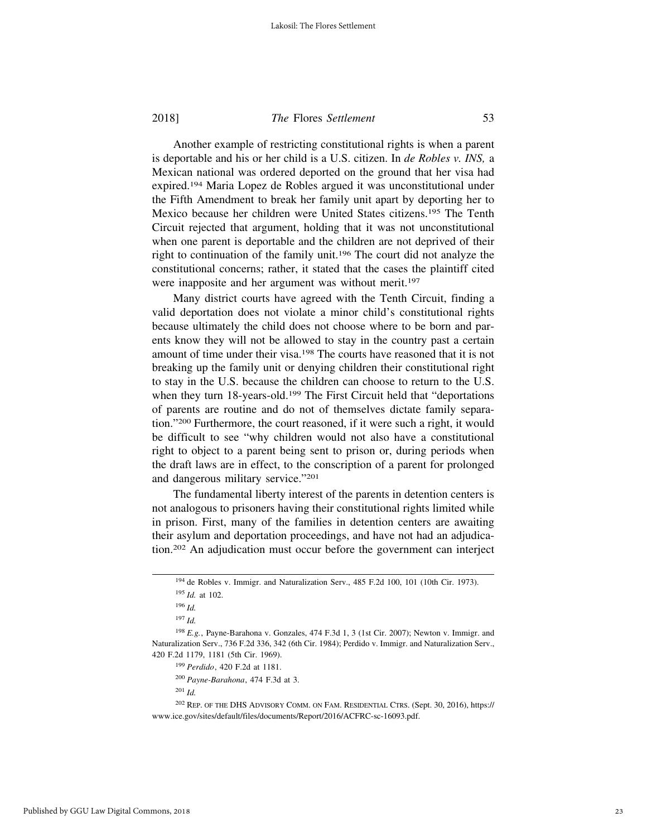Another example of restricting constitutional rights is when a parent is deportable and his or her child is a U.S. citizen. In *de Robles v. INS,* a Mexican national was ordered deported on the ground that her visa had expired.194 Maria Lopez de Robles argued it was unconstitutional under the Fifth Amendment to break her family unit apart by deporting her to Mexico because her children were United States citizens.195 The Tenth Circuit rejected that argument, holding that it was not unconstitutional when one parent is deportable and the children are not deprived of their right to continuation of the family unit.196 The court did not analyze the constitutional concerns; rather, it stated that the cases the plaintiff cited were inapposite and her argument was without merit.<sup>197</sup>

Many district courts have agreed with the Tenth Circuit, finding a valid deportation does not violate a minor child's constitutional rights because ultimately the child does not choose where to be born and parents know they will not be allowed to stay in the country past a certain amount of time under their visa.198 The courts have reasoned that it is not breaking up the family unit or denying children their constitutional right to stay in the U.S. because the children can choose to return to the U.S. when they turn 18-years-old.<sup>199</sup> The First Circuit held that "deportations" of parents are routine and do not of themselves dictate family separation."200 Furthermore, the court reasoned, if it were such a right, it would be difficult to see "why children would not also have a constitutional right to object to a parent being sent to prison or, during periods when the draft laws are in effect, to the conscription of a parent for prolonged and dangerous military service."201

The fundamental liberty interest of the parents in detention centers is not analogous to prisoners having their constitutional rights limited while in prison. First, many of the families in detention centers are awaiting their asylum and deportation proceedings, and have not had an adjudication.202 An adjudication must occur before the government can interject

<sup>200</sup> *Payne-Barahona*, 474 F.3d at 3.

<sup>194</sup> de Robles v. Immigr. and Naturalization Serv., 485 F.2d 100, 101 (10th Cir. 1973). <sup>195</sup> *Id.* at 102.

<sup>196</sup> *Id.*

<sup>197</sup> *Id.*

<sup>198</sup> *E.g.*, Payne-Barahona v. Gonzales, 474 F.3d 1, 3 (1st Cir. 2007); Newton v. Immigr. and Naturalization Serv., 736 F.2d 336, 342 (6th Cir. 1984); Perdido v. Immigr. and Naturalization Serv., 420 F.2d 1179, 1181 (5th Cir. 1969).

<sup>199</sup> *Perdido*, 420 F.2d at 1181.

<sup>202</sup> REP. OF THE DHS ADVISORY COMM. ON FAM. RESIDENTIAL CTRS. (Sept. 30, 2016), https:// www.ice.gov/sites/default/files/documents/Report/2016/ACFRC-sc-16093.pdf.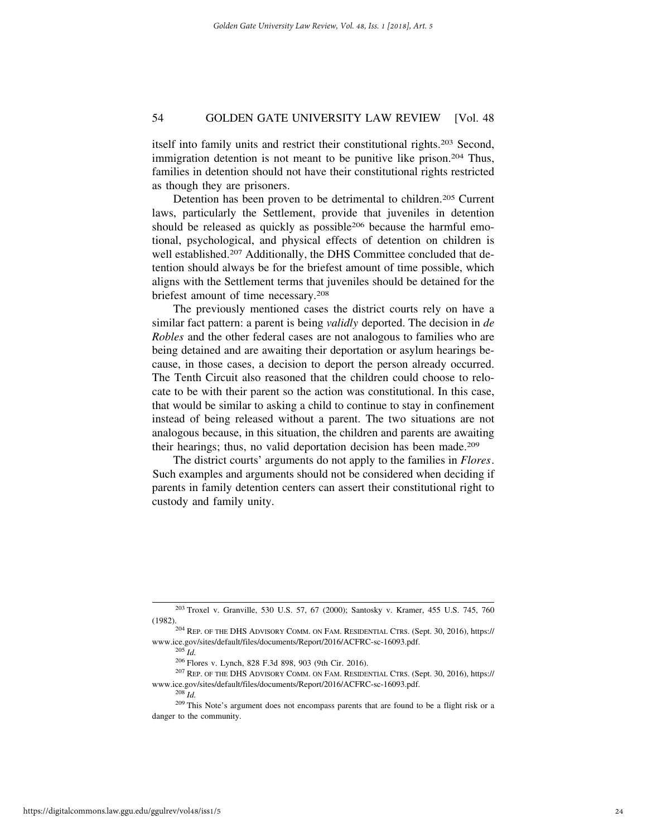itself into family units and restrict their constitutional rights.203 Second, immigration detention is not meant to be punitive like prison.<sup>204</sup> Thus, families in detention should not have their constitutional rights restricted as though they are prisoners.

Detention has been proven to be detrimental to children.<sup>205</sup> Current laws, particularly the Settlement, provide that juveniles in detention should be released as quickly as possible<sup>206</sup> because the harmful emotional, psychological, and physical effects of detention on children is well established.<sup>207</sup> Additionally, the DHS Committee concluded that detention should always be for the briefest amount of time possible, which aligns with the Settlement terms that juveniles should be detained for the briefest amount of time necessary.208

The previously mentioned cases the district courts rely on have a similar fact pattern: a parent is being *validly* deported. The decision in *de Robles* and the other federal cases are not analogous to families who are being detained and are awaiting their deportation or asylum hearings because, in those cases, a decision to deport the person already occurred. The Tenth Circuit also reasoned that the children could choose to relocate to be with their parent so the action was constitutional. In this case, that would be similar to asking a child to continue to stay in confinement instead of being released without a parent. The two situations are not analogous because, in this situation, the children and parents are awaiting their hearings; thus, no valid deportation decision has been made.209

The district courts' arguments do not apply to the families in *Flores*. Such examples and arguments should not be considered when deciding if parents in family detention centers can assert their constitutional right to custody and family unity.

 $^{203}$  Troxel v. Granville, 530 U.S. 57, 67 (2000); Santosky v. Kramer, 455 U.S. 745, 760 (1982).

<sup>&</sup>lt;sup>204</sup> REP. OF THE DHS ADVISORY COMM. ON FAM. RESIDENTIAL CTRS. (Sept. 30, 2016), https:// www.ice.gov/sites/default/files/documents/Report/2016/ACFRC-sc-16093.pdf.

<sup>206</sup> Flores v. Lynch, 828 F.3d 898, 903 (9th Cir. 2016).

<sup>207</sup> REP. OF THE DHS ADVISORY COMM. ON FAM. RESIDENTIAL CTRS. (Sept. 30, 2016), https:// www.ice.gov/sites/default/files/documents/Report/2016/ACFRC-sc-16093.pdf.

<sup>208</sup> *Id.*

<sup>209</sup> This Note's argument does not encompass parents that are found to be a flight risk or a danger to the community.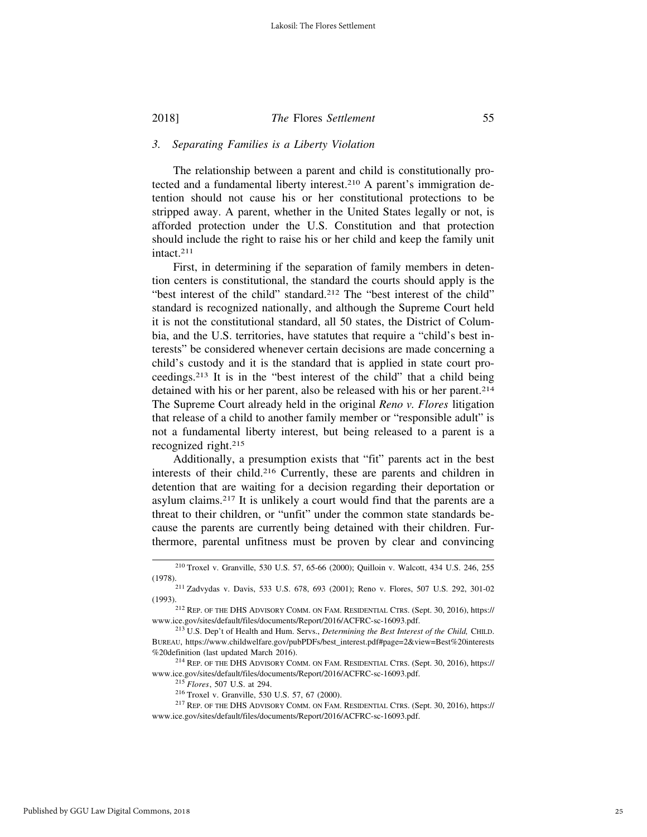#### *3. Separating Families is a Liberty Violation*

The relationship between a parent and child is constitutionally protected and a fundamental liberty interest.210 A parent's immigration detention should not cause his or her constitutional protections to be stripped away. A parent, whether in the United States legally or not, is afforded protection under the U.S. Constitution and that protection should include the right to raise his or her child and keep the family unit intact.211

First, in determining if the separation of family members in detention centers is constitutional, the standard the courts should apply is the "best interest of the child" standard.<sup>212</sup> The "best interest of the child" standard is recognized nationally, and although the Supreme Court held it is not the constitutional standard, all 50 states, the District of Columbia, and the U.S. territories, have statutes that require a "child's best interests" be considered whenever certain decisions are made concerning a child's custody and it is the standard that is applied in state court proceedings.213 It is in the "best interest of the child" that a child being detained with his or her parent, also be released with his or her parent.<sup>214</sup> The Supreme Court already held in the original *Reno v. Flores* litigation that release of a child to another family member or "responsible adult" is not a fundamental liberty interest, but being released to a parent is a recognized right.215

Additionally, a presumption exists that "fit" parents act in the best interests of their child.216 Currently, these are parents and children in detention that are waiting for a decision regarding their deportation or asylum claims.217 It is unlikely a court would find that the parents are a threat to their children, or "unfit" under the common state standards because the parents are currently being detained with their children. Furthermore, parental unfitness must be proven by clear and convincing

<sup>210</sup> Troxel v. Granville, 530 U.S. 57, 65-66 (2000); Quilloin v. Walcott, 434 U.S. 246, 255

<sup>(1978).211</sup> Zadvydas v. Davis, 533 U.S. 678, 693 (2001); Reno v. Flores, 507 U.S. 292, 301-02 (1993). <sup>212</sup> REP. OF THE DHS ADVISORY COMM. ON FAM. RESIDENTIAL CTRS. (Sept. 30, 2016), https://

www.ice.gov/sites/default/files/documents/Report/2016/ACFRC-sc-16093.pdf.

<sup>213</sup> U.S. Dep't of Health and Hum. Servs., *Determining the Best Interest of the Child,* CHILD. BUREAU, https://www.childwelfare.gov/pubPDFs/best\_interest.pdf#page=2&view=Best%20interests %20definition (last updated March 2016).

<sup>214</sup> REP. OF THE DHS ADVISORY COMM. ON FAM. RESIDENTIAL CTRS. (Sept. 30, 2016), https:// www.ice.gov/sites/default/files/documents/Report/2016/ACFRC-sc-16093.pdf.

<sup>215</sup> *Flores*, 507 U.S. at 294.

<sup>216</sup> Troxel v. Granville, 530 U.S. 57, 67 (2000).

<sup>217</sup> REP. OF THE DHS ADVISORY COMM. ON FAM. RESIDENTIAL CTRS. (Sept. 30, 2016), https:// www.ice.gov/sites/default/files/documents/Report/2016/ACFRC-sc-16093.pdf.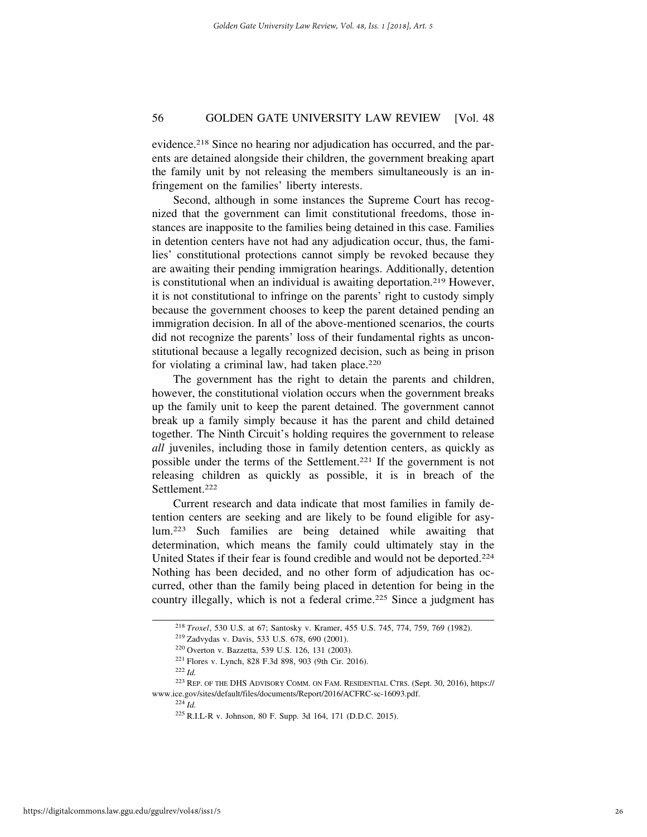evidence.218 Since no hearing nor adjudication has occurred, and the parents are detained alongside their children, the government breaking apart the family unit by not releasing the members simultaneously is an infringement on the families' liberty interests.

Second, although in some instances the Supreme Court has recognized that the government can limit constitutional freedoms, those instances are inapposite to the families being detained in this case. Families in detention centers have not had any adjudication occur, thus, the families' constitutional protections cannot simply be revoked because they are awaiting their pending immigration hearings. Additionally, detention is constitutional when an individual is awaiting deportation.<sup>219</sup> However, it is not constitutional to infringe on the parents' right to custody simply because the government chooses to keep the parent detained pending an immigration decision. In all of the above-mentioned scenarios, the courts did not recognize the parents' loss of their fundamental rights as unconstitutional because a legally recognized decision, such as being in prison for violating a criminal law, had taken place.<sup>220</sup>

The government has the right to detain the parents and children, however, the constitutional violation occurs when the government breaks up the family unit to keep the parent detained. The government cannot break up a family simply because it has the parent and child detained together. The Ninth Circuit's holding requires the government to release *all* juveniles, including those in family detention centers, as quickly as possible under the terms of the Settlement.221 If the government is not releasing children as quickly as possible, it is in breach of the Settlement.222

Current research and data indicate that most families in family detention centers are seeking and are likely to be found eligible for asylum.223 Such families are being detained while awaiting that determination, which means the family could ultimately stay in the United States if their fear is found credible and would not be deported.224 Nothing has been decided, and no other form of adjudication has occurred, other than the family being placed in detention for being in the country illegally, which is not a federal crime.<sup>225</sup> Since a judgment has

<sup>218</sup> *Troxel*, 530 U.S. at 67; Santosky v. Kramer, 455 U.S. 745, 774, 759, 769 (1982).

<sup>219</sup> Zadvydas v. Davis, 533 U.S. 678, 690 (2001).

<sup>220</sup> Overton v. Bazzetta, 539 U.S. 126, 131 (2003).

<sup>221</sup> Flores v. Lynch, 828 F.3d 898, 903 (9th Cir. 2016).

<sup>223</sup> REP. OF THE DHS ADVISORY COMM. ON FAM. RESIDENTIAL CTRS. (Sept. 30, 2016), https:// www.ice.gov/sites/default/files/documents/Report/2016/ACFRC-sc-16093.pdf. <sup>224</sup> *Id.*

<sup>225</sup> R.I.L-R v. Johnson, 80 F. Supp. 3d 164, 171 (D.D.C. 2015).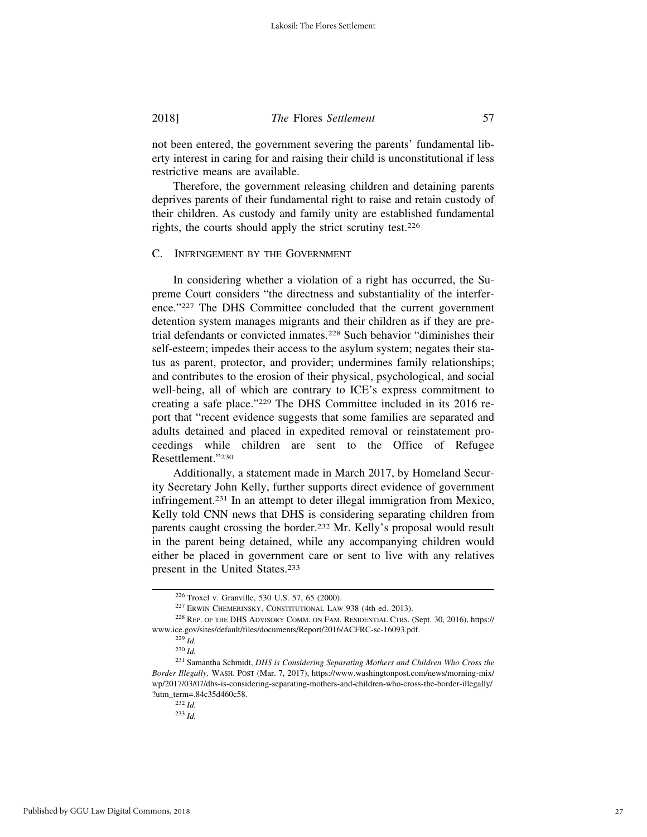not been entered, the government severing the parents' fundamental liberty interest in caring for and raising their child is unconstitutional if less restrictive means are available.

Therefore, the government releasing children and detaining parents deprives parents of their fundamental right to raise and retain custody of their children. As custody and family unity are established fundamental rights, the courts should apply the strict scrutiny test.226

#### C. INFRINGEMENT BY THE GOVERNMENT

In considering whether a violation of a right has occurred, the Supreme Court considers "the directness and substantiality of the interference."227 The DHS Committee concluded that the current government detention system manages migrants and their children as if they are pretrial defendants or convicted inmates.228 Such behavior "diminishes their self-esteem; impedes their access to the asylum system; negates their status as parent, protector, and provider; undermines family relationships; and contributes to the erosion of their physical, psychological, and social well-being, all of which are contrary to ICE's express commitment to creating a safe place."229 The DHS Committee included in its 2016 report that "recent evidence suggests that some families are separated and adults detained and placed in expedited removal or reinstatement proceedings while children are sent to the Office of Refugee Resettlement."230

Additionally, a statement made in March 2017, by Homeland Security Secretary John Kelly, further supports direct evidence of government infringement.231 In an attempt to deter illegal immigration from Mexico, Kelly told CNN news that DHS is considering separating children from parents caught crossing the border.232 Mr. Kelly's proposal would result in the parent being detained, while any accompanying children would either be placed in government care or sent to live with any relatives present in the United States.233

<sup>226</sup> Troxel v. Granville, 530 U.S. 57, 65 (2000).

<sup>227</sup> ERWIN CHEMERINSKY, CONSTITUTIONAL LAW 938 (4th ed. 2013).

<sup>228</sup> REP. OF THE DHS ADVISORY COMM. ON FAM. RESIDENTIAL CTRS. (Sept. 30, 2016), https:// www.ice.gov/sites/default/files/documents/Report/2016/ACFRC-sc-16093.pdf.

 $^{229}$ *Id.* 

<sup>230</sup> *Id.*

<sup>231</sup> Samantha Schmidt, *DHS is Considering Separating Mothers and Children Who Cross the Border Illegally,* WASH. POST (Mar. 7, 2017), https://www.washingtonpost.com/news/morning-mix/ wp/2017/03/07/dhs-is-considering-separating-mothers-and-children-who-cross-the-border-illegally/ ?utm\_term=.84c35d460c58.

<sup>232</sup> *Id.*

<sup>233</sup> *Id.*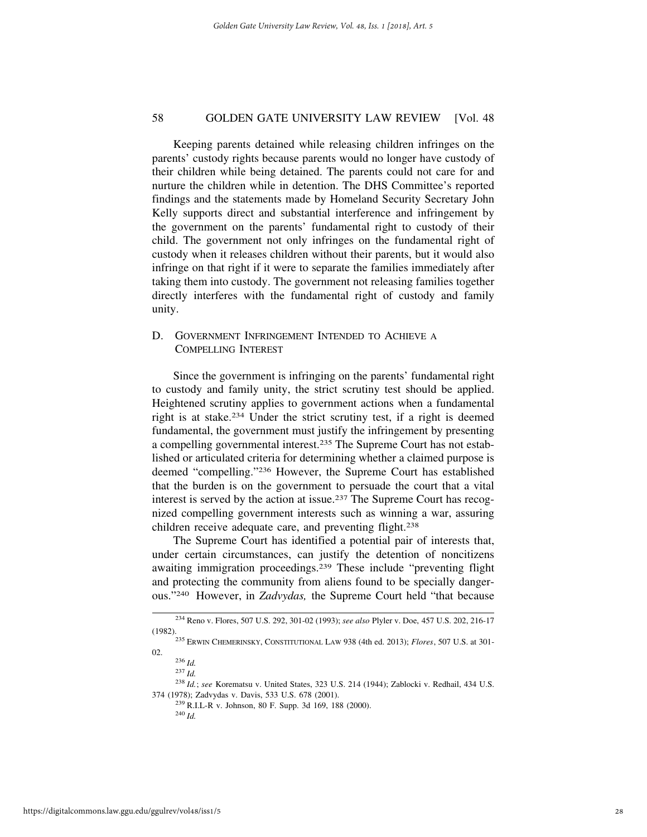Keeping parents detained while releasing children infringes on the parents' custody rights because parents would no longer have custody of their children while being detained. The parents could not care for and nurture the children while in detention. The DHS Committee's reported findings and the statements made by Homeland Security Secretary John Kelly supports direct and substantial interference and infringement by the government on the parents' fundamental right to custody of their child. The government not only infringes on the fundamental right of custody when it releases children without their parents, but it would also infringe on that right if it were to separate the families immediately after taking them into custody. The government not releasing families together directly interferes with the fundamental right of custody and family unity.

D. GOVERNMENT INFRINGEMENT INTENDED TO ACHIEVE A COMPELLING INTEREST

Since the government is infringing on the parents' fundamental right to custody and family unity, the strict scrutiny test should be applied. Heightened scrutiny applies to government actions when a fundamental right is at stake.234 Under the strict scrutiny test, if a right is deemed fundamental, the government must justify the infringement by presenting a compelling governmental interest.235 The Supreme Court has not established or articulated criteria for determining whether a claimed purpose is deemed "compelling."236 However, the Supreme Court has established that the burden is on the government to persuade the court that a vital interest is served by the action at issue.237 The Supreme Court has recognized compelling government interests such as winning a war, assuring children receive adequate care, and preventing flight.<sup>238</sup>

The Supreme Court has identified a potential pair of interests that, under certain circumstances, can justify the detention of noncitizens awaiting immigration proceedings.239 These include "preventing flight and protecting the community from aliens found to be specially dangerous."240 However, in *Zadvydas,* the Supreme Court held "that because

<sup>234</sup> Reno v. Flores, 507 U.S. 292, 301-02 (1993); *see also* Plyler v. Doe, 457 U.S. 202, 216-17

<sup>&</sup>lt;sup>235</sup> ERWIN CHEMERINSKY, CONSTITUTIONAL LAW 938 (4th ed. 2013); *Flores*, 507 U.S. at 301-02.

<sup>236</sup> *Id.*

<sup>237</sup> *Id.*

<sup>238</sup> *Id.*; *see* Korematsu v. United States, 323 U.S. 214 (1944); Zablocki v. Redhail, 434 U.S. 374 (1978); Zadvydas v. Davis, 533 U.S. 678 (2001).

<sup>239</sup> R.I.L-R v. Johnson, 80 F. Supp. 3d 169, 188 (2000).

<sup>240</sup> *Id.*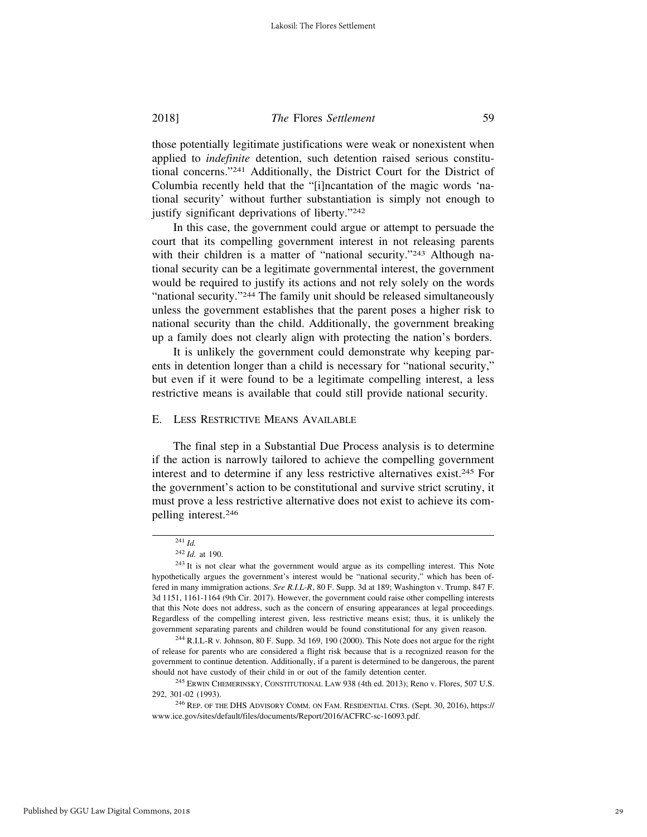those potentially legitimate justifications were weak or nonexistent when applied to *indefinite* detention, such detention raised serious constitutional concerns."241 Additionally, the District Court for the District of Columbia recently held that the "[i]ncantation of the magic words 'national security' without further substantiation is simply not enough to justify significant deprivations of liberty."242

In this case, the government could argue or attempt to persuade the court that its compelling government interest in not releasing parents with their children is a matter of "national security."<sup>243</sup> Although national security can be a legitimate governmental interest, the government would be required to justify its actions and not rely solely on the words "national security."<sup>244</sup> The family unit should be released simultaneously unless the government establishes that the parent poses a higher risk to national security than the child. Additionally, the government breaking up a family does not clearly align with protecting the nation's borders.

It is unlikely the government could demonstrate why keeping parents in detention longer than a child is necessary for "national security," but even if it were found to be a legitimate compelling interest, a less restrictive means is available that could still provide national security.

#### E. LESS RESTRICTIVE MEANS AVAILABLE

The final step in a Substantial Due Process analysis is to determine if the action is narrowly tailored to achieve the compelling government interest and to determine if any less restrictive alternatives exist.<sup>245</sup> For the government's action to be constitutional and survive strict scrutiny, it must prove a less restrictive alternative does not exist to achieve its compelling interest.246

<sup>241</sup> *Id.*

<sup>242</sup> *Id.* at 190.

<sup>&</sup>lt;sup>243</sup> It is not clear what the government would argue as its compelling interest. This Note hypothetically argues the government's interest would be "national security," which has been offered in many immigration actions. *See R.I.L-R*, 80 F. Supp. 3d at 189; Washington v. Trump, 847 F. 3d 1151, 1161-1164 (9th Cir. 2017). However, the government could raise other compelling interests that this Note does not address, such as the concern of ensuring appearances at legal proceedings. Regardless of the compelling interest given, less restrictive means exist; thus, it is unlikely the government separating parents and children would be found constitutional for any given reason.

<sup>244</sup> R.I.L-R v. Johnson, 80 F. Supp. 3d 169, 190 (2000). This Note does not argue for the right of release for parents who are considered a flight risk because that is a recognized reason for the government to continue detention. Additionally, if a parent is determined to be dangerous, the parent should not have custody of their child in or out of the family detention center.

<sup>245</sup> ERWIN CHEMERINSKY, CONSTITUTIONAL LAW 938 (4th ed. 2013); Reno v. Flores, 507 U.S. 292, 301-02 (1993).

<sup>246</sup> REP. OF THE DHS ADVISORY COMM. ON FAM. RESIDENTIAL CTRS. (Sept. 30, 2016), https:// www.ice.gov/sites/default/files/documents/Report/2016/ACFRC-sc-16093.pdf.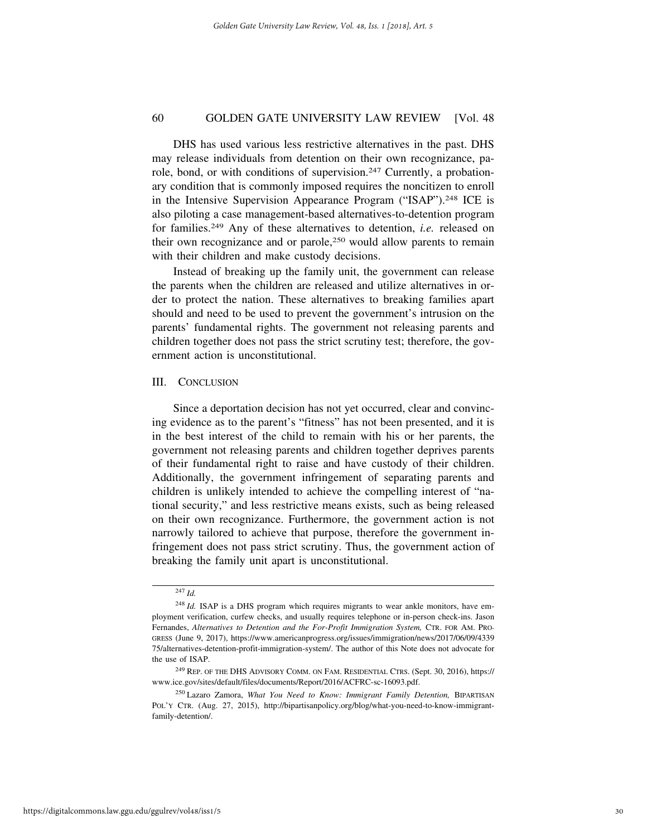DHS has used various less restrictive alternatives in the past. DHS may release individuals from detention on their own recognizance, parole, bond, or with conditions of supervision.247 Currently, a probationary condition that is commonly imposed requires the noncitizen to enroll in the Intensive Supervision Appearance Program ("ISAP").248 ICE is also piloting a case management-based alternatives-to-detention program for families.249 Any of these alternatives to detention, *i.e.* released on their own recognizance and or parole,250 would allow parents to remain with their children and make custody decisions.

Instead of breaking up the family unit, the government can release the parents when the children are released and utilize alternatives in order to protect the nation. These alternatives to breaking families apart should and need to be used to prevent the government's intrusion on the parents' fundamental rights. The government not releasing parents and children together does not pass the strict scrutiny test; therefore, the government action is unconstitutional.

#### III. CONCLUSION

Since a deportation decision has not yet occurred, clear and convincing evidence as to the parent's "fitness" has not been presented, and it is in the best interest of the child to remain with his or her parents, the government not releasing parents and children together deprives parents of their fundamental right to raise and have custody of their children. Additionally, the government infringement of separating parents and children is unlikely intended to achieve the compelling interest of "national security," and less restrictive means exists, such as being released on their own recognizance. Furthermore, the government action is not narrowly tailored to achieve that purpose, therefore the government infringement does not pass strict scrutiny. Thus, the government action of breaking the family unit apart is unconstitutional.

<sup>247</sup> *Id.*

<sup>&</sup>lt;sup>248</sup> *Id.* ISAP is a DHS program which requires migrants to wear ankle monitors, have employment verification, curfew checks, and usually requires telephone or in-person check-ins. Jason Fernandes, *Alternatives to Detention and the For-Profit Immigration System,* CTR. FOR AM. PRO-GRESS (June 9, 2017), https://www.americanprogress.org/issues/immigration/news/2017/06/09/4339 75/alternatives-detention-profit-immigration-system/. The author of this Note does not advocate for the use of ISAP.

<sup>249</sup> REP. OF THE DHS ADVISORY COMM. ON FAM. RESIDENTIAL CTRS. (Sept. 30, 2016), https:// www.ice.gov/sites/default/files/documents/Report/2016/ACFRC-sc-16093.pdf.

<sup>250</sup> Lazaro Zamora, *What You Need to Know: Immigrant Family Detention,* BIPARTISAN POL'Y CTR. (Aug. 27, 2015), http://bipartisanpolicy.org/blog/what-you-need-to-know-immigrantfamily-detention/.